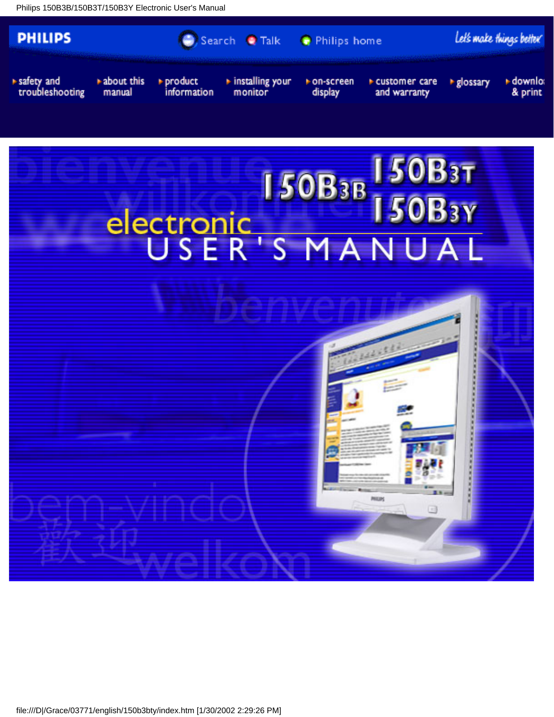Philips 150B3B/150B3T/150B3Y Electronic User's Manual

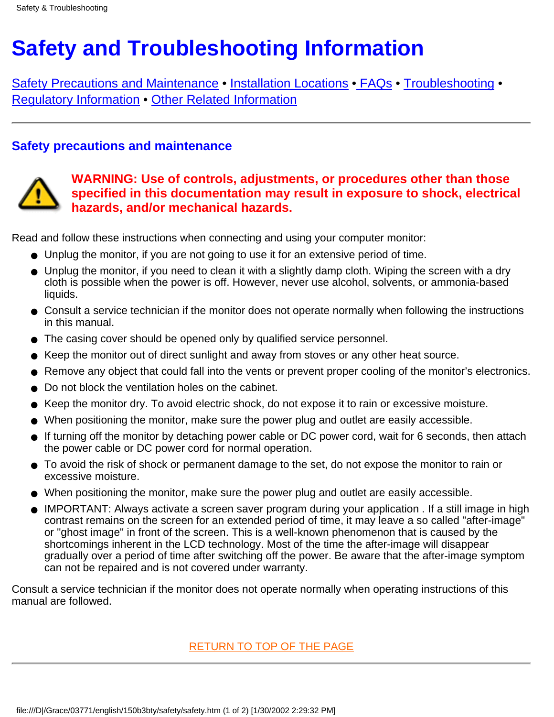# <span id="page-1-0"></span>**Safety and Troubleshooting Information**

Safety Precautions and Maintenance • Installation Locations • [FAQs](#page-24-0) • [Troubleshooting](#page-32-0) • [Regulatory Information](#page-35-0) • [Other Related Information](#page-45-0)

# **Safety precautions and maintenance**



#### **WARNING: Use of controls, adjustments, or procedures other than those specified in this documentation may result in exposure to shock, electrical hazards, and/or mechanical hazards.**

Read and follow these instructions when connecting and using your computer monitor:

- Unplug the monitor, if you are not going to use it for an extensive period of time.
- Unplug the monitor, if you need to clean it with a slightly damp cloth. Wiping the screen with a dry cloth is possible when the power is off. However, never use alcohol, solvents, or ammonia-based liquids.
- Consult a service technician if the monitor does not operate normally when following the instructions in this manual.
- The casing cover should be opened only by qualified service personnel.
- Keep the monitor out of direct sunlight and away from stoves or any other heat source.
- Remove any object that could fall into the vents or prevent proper cooling of the monitor's electronics.
- Do not block the ventilation holes on the cabinet.
- Keep the monitor dry. To avoid electric shock, do not expose it to rain or excessive moisture.
- When positioning the monitor, make sure the power plug and outlet are easily accessible.
- If turning off the monitor by detaching power cable or DC power cord, wait for 6 seconds, then attach the power cable or DC power cord for normal operation.
- To avoid the risk of shock or permanent damage to the set, do not expose the monitor to rain or excessive moisture.
- When positioning the monitor, make sure the power plug and outlet are easily accessible.
- IMPORTANT: Always activate a screen saver program during your application . If a still image in high contrast remains on the screen for an extended period of time, it may leave a so called "after-image" or "ghost image" in front of the screen. This is a well-known phenomenon that is caused by the shortcomings inherent in the LCD technology. Most of the time the after-image will disappear gradually over a period of time after switching off the power. Be aware that the after-image symptom can not be repaired and is not covered under warranty.

Consult a service technician if the monitor does not operate normally when operating instructions of this manual are followed.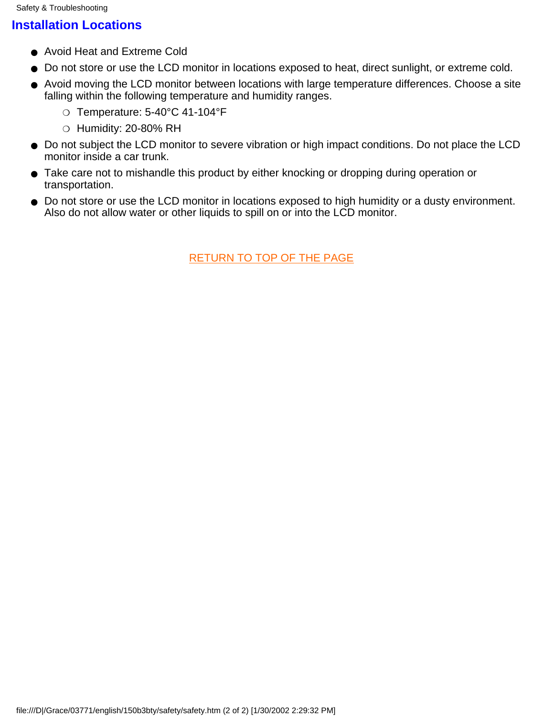#### **Installation Locations**

- Avoid Heat and Extreme Cold
- Do not store or use the LCD monitor in locations exposed to heat, direct sunlight, or extreme cold.
- Avoid moving the LCD monitor between locations with large temperature differences. Choose a site falling within the following temperature and humidity ranges.
	- ❍ Temperature: 5-40°C 41-104°F
	- $\circ$  Humidity: 20-80% RH
- Do not subject the LCD monitor to severe vibration or high impact conditions. Do not place the LCD monitor inside a car trunk.
- Take care not to mishandle this product by either knocking or dropping during operation or transportation.
- Do not store or use the LCD monitor in locations exposed to high humidity or a dusty environment. Also do not allow water or other liquids to spill on or into the LCD monitor.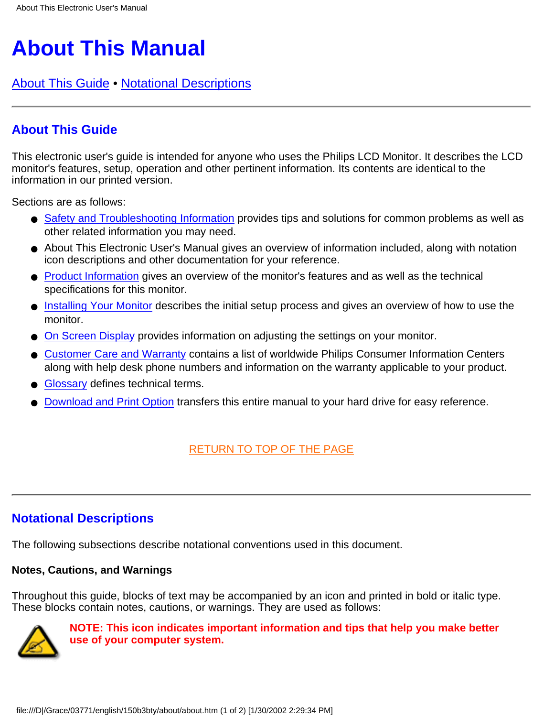# **About This Manual**

# About This Guide • Notational Descriptions

# **About This Guide**

This electronic user's guide is intended for anyone who uses the Philips LCD Monitor. It describes the LCD monitor's features, setup, operation and other pertinent information. Its contents are identical to the information in our printed version.

Sections are as follows:

- [Safety and Troubleshooting Information](#page-1-0) provides tips and solutions for common problems as well as other related information you may need.
- About This Electronic User's Manual gives an overview of information included, along with notation icon descriptions and other documentation for your reference.
- [Product Information](#page-5-0) gives an overview of the monitor's features and as well as the technical specifications for this monitor.
- [Installing Your Monitor](#page-11-0) describes the initial setup process and gives an overview of how to use the monitor.
- [On Screen Display](#page-13-0) provides information on adjusting the settings on your monitor.
- [Customer Care and Warranty](#page-16-0) contains a list of worldwide Philips Consumer Information Centers along with help desk phone numbers and information on the warranty applicable to your product.
- [Glossary](#page-17-0) defines technical terms.
- **[Download and Print Option](#page-21-0) transfers this entire manual to your hard drive for easy reference.**

### RETURN TO TOP OF THE PAGE

# **Notational Descriptions**

The following subsections describe notational conventions used in this document.

#### **Notes, Cautions, and Warnings**

Throughout this guide, blocks of text may be accompanied by an icon and printed in bold or italic type. These blocks contain notes, cautions, or warnings. They are used as follows:



**NOTE: This icon indicates important information and tips that help you make better use of your computer system.**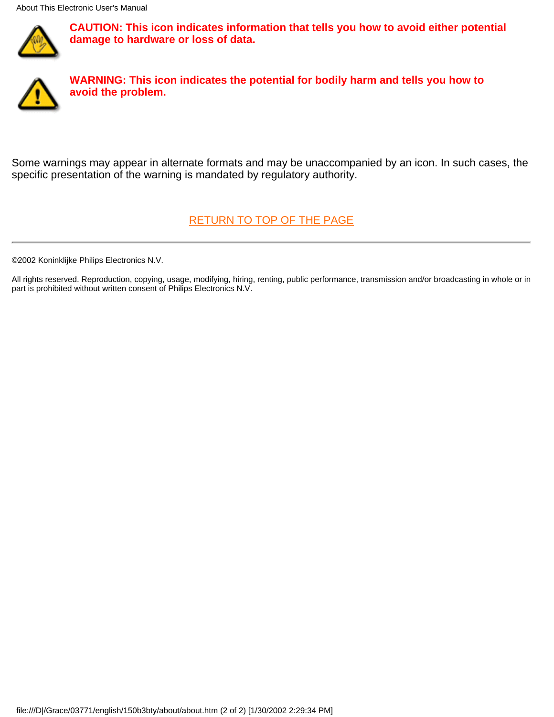

**CAUTION: This icon indicates information that tells you how to avoid either potential damage to hardware or loss of data.**



**WARNING: This icon indicates the potential for bodily harm and tells you how to avoid the problem.**

Some warnings may appear in alternate formats and may be unaccompanied by an icon. In such cases, the specific presentation of the warning is mandated by regulatory authority.

RETURN TO TOP OF THE PAGE

©2002 Koninklijke Philips Electronics N.V.

All rights reserved. Reproduction, copying, usage, modifying, hiring, renting, public performance, transmission and/or broadcasting in whole or in part is prohibited without written consent of Philips Electronics N.V.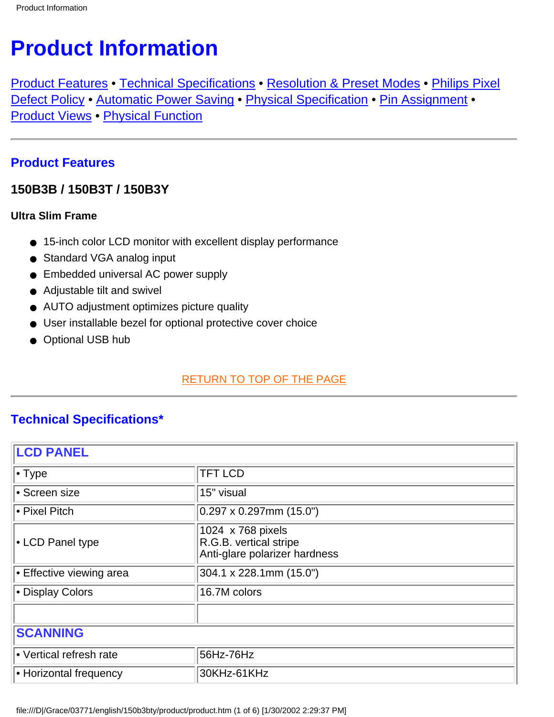# <span id="page-5-3"></span><span id="page-5-0"></span>**Product Information**

[Product Features](#page-5-1) • [Technical Specifications](#page-5-2) • [Resolution & Preset Modes](#page-6-0) • [Philips Pixel](#page-46-0) [Defect Policy](#page-46-0) • [Automatic Power Saving](#page-7-0) • [Physical Specification](#page-8-0) • [Pin Assignment](#page-8-1) • [Product Views](#page-9-0) • [Physical Function](#page-9-1)

#### <span id="page-5-1"></span>**Product Features**

#### **150B3B / 150B3T / 150B3Y**

#### **Ultra Slim Frame**

- 15-inch color LCD monitor with excellent display performance
- Standard VGA analog input
- Embedded universal AC power supply
- Adjustable tilt and swivel
- AUTO adjustment optimizes picture quality
- User installable bezel for optional protective cover choice
- Optional USB hub

#### [RETURN TO TOP OF THE PAGE](#page-5-3)

### <span id="page-5-2"></span>**Technical Specifications\***

| <b>LCD PANEL</b>               |                                                                              |  |
|--------------------------------|------------------------------------------------------------------------------|--|
| $\cdot$ Type                   | <b>TFT LCD</b>                                                               |  |
| Screen size                    | 15" visual                                                                   |  |
| • Pixel Pitch                  | $0.297 \times 0.297$ mm (15.0")                                              |  |
| • LCD Panel type               | 1024 x 768 pixels<br>R.G.B. vertical stripe<br>Anti-glare polarizer hardness |  |
| <b>E</b> ffective viewing area | 304.1 x 228.1mm (15.0")                                                      |  |
| • Display Colors               | 16.7M colors                                                                 |  |
|                                |                                                                              |  |
| <b>SCANNING</b>                |                                                                              |  |
| • Vertical refresh rate        | 56Hz-76Hz                                                                    |  |
| • Horizontal frequency         | 30KHz-61KHz                                                                  |  |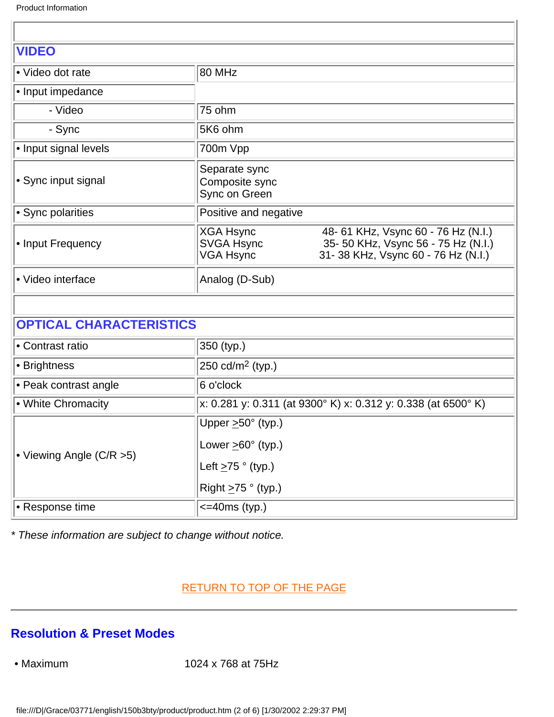| <b>VIDEO</b>          |                                                           |                                                                                                                 |
|-----------------------|-----------------------------------------------------------|-----------------------------------------------------------------------------------------------------------------|
| • Video dot rate      | 80 MHz                                                    |                                                                                                                 |
| • Input impedance     |                                                           |                                                                                                                 |
| - Video               | 75 ohm                                                    |                                                                                                                 |
| - Sync                | 5K6 ohm                                                   |                                                                                                                 |
| • Input signal levels | 700m Vpp                                                  |                                                                                                                 |
| • Sync input signal   | Separate sync<br>Composite sync<br>Sync on Green          |                                                                                                                 |
| • Sync polarities     | Positive and negative                                     |                                                                                                                 |
| • Input Frequency     | <b>XGA Hsync</b><br><b>SVGA Hsync</b><br><b>VGA Hsync</b> | 48-61 KHz, Vsync 60 - 76 Hz (N.I.)<br>35- 50 KHz, Vsync 56 - 75 Hz (N.I.)<br>31-38 KHz, Vsync 60 - 76 Hz (N.I.) |
| • Video interface     | Analog (D-Sub)                                            |                                                                                                                 |

# **OPTICAL CHARACTERISTICS**

| Contrast ratio              | 350 (typ.)                                                    |  |
|-----------------------------|---------------------------------------------------------------|--|
| l• Brightness               | $250 \text{ cd/m}^2 \text{ (typ.)}$                           |  |
| • Peak contrast angle       | 6 o'clock                                                     |  |
| • White Chromacity          | x: 0.281 y: 0.311 (at 9300° K) x: 0.312 y: 0.338 (at 6500° K) |  |
|                             | Upper $\geq 50^{\circ}$ (typ.)                                |  |
|                             | Lower $\geq 60^\circ$ (typ.)                                  |  |
| • Viewing Angle (C/R $>5$ ) | Left $\geq$ 75 ° (typ.)                                       |  |
|                             | $\mathsf{Right} \geq 75$ ° (typ.)                             |  |
| l• Response time            | $\leq$ =40ms (typ.)                                           |  |

*\* These information are subject to change without notice.*

# [RETURN TO TOP OF THE PAGE](#page-5-3)

# <span id="page-6-0"></span>**Resolution & Preset Modes**

• Maximum 1024 x 768 at 75Hz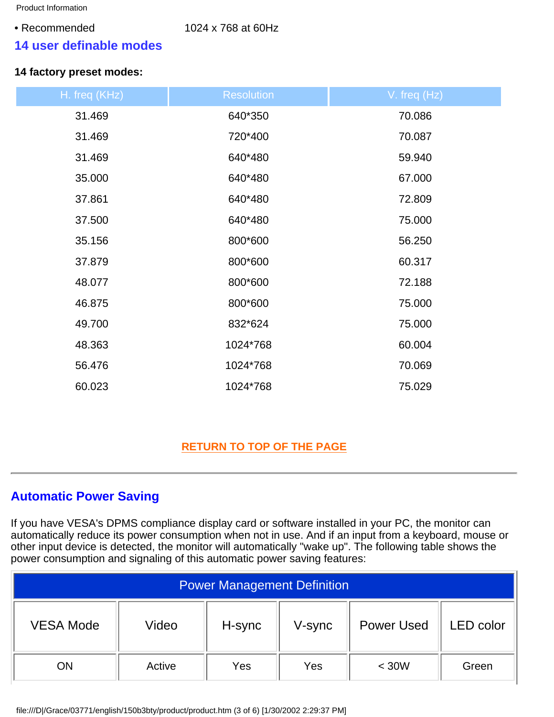Product Information

• Recommended 1024 x 768 at 60Hz

#### **14 user definable modes**

#### **14 factory preset modes:**

| H. freq (KHz) | <b>Resolution</b> | V. freq (Hz) |
|---------------|-------------------|--------------|
| 31.469        | 640*350           | 70.086       |
| 31.469        | 720*400           | 70.087       |
| 31.469        | 640*480           | 59.940       |
| 35.000        | 640*480           | 67.000       |
| 37.861        | 640*480           | 72.809       |
| 37.500        | 640*480           | 75.000       |
| 35.156        | 800*600           | 56.250       |
| 37.879        | 800*600           | 60.317       |
| 48.077        | 800*600           | 72.188       |
| 46.875        | 800*600           | 75.000       |
| 49.700        | 832*624           | 75.000       |
| 48.363        | 1024*768          | 60.004       |
| 56.476        | 1024*768          | 70.069       |
| 60.023        | 1024*768          | 75.029       |

#### **[RETURN TO TOP OF THE PAGE](#page-5-3)**

### <span id="page-7-0"></span>**Automatic Power Saving**

If you have VESA's DPMS compliance display card or software installed in your PC, the monitor can automatically reduce its power consumption when not in use. And if an input from a keyboard, mouse or other input device is detected, the monitor will automatically "wake up". The following table shows the power consumption and signaling of this automatic power saving features:

| <b>Power Management Definition</b> |        |        |        |                   |                  |
|------------------------------------|--------|--------|--------|-------------------|------------------|
| <b>VESA Mode</b>                   | Video  | H-sync | V-sync | <b>Power Used</b> | <b>LED</b> color |
| <b>ON</b>                          | Active | Yes    | Yes    | $<$ 30W           | Green            |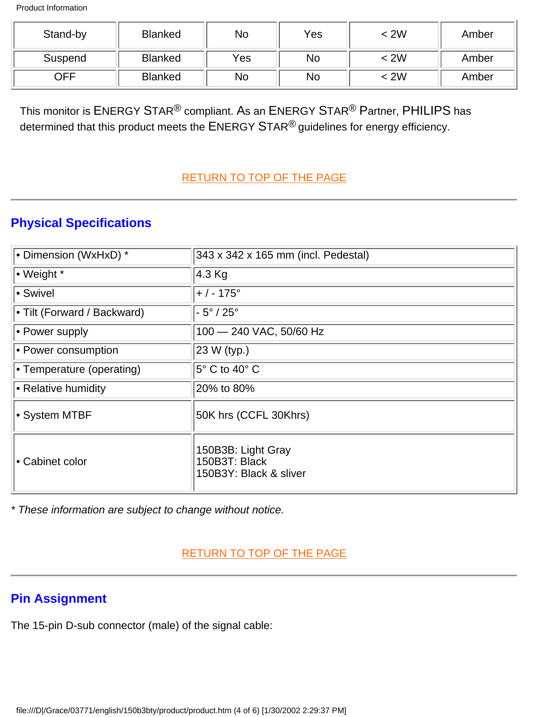Product Information

| Stand-by | <b>Blanked</b> | No  | Yes       | $<$ 2W | Amber |
|----------|----------------|-----|-----------|--------|-------|
| Suspend  | <b>Blanked</b> | Yes | <b>No</b> | $<$ 2W | Amber |
| JFF.     | <b>Blanked</b> | No  | No        | < 2W   | Amber |

This monitor is ENERGY STAR<sup>®</sup> compliant. As an ENERGY STAR<sup>®</sup> Partner, PHILIPS has determined that this product meets the ENERGY STAR<sup>®</sup> guidelines for energy efficiency.

#### [RETURN TO TOP OF THE PAGE](#page-5-3)

# <span id="page-8-0"></span>**Physical Specifications**

| • Dimension (WxHxD) *       | 343 x 342 x 165 mm (incl. Pedestal)                           |
|-----------------------------|---------------------------------------------------------------|
| • Weight *                  | 4.3 Kg                                                        |
| • Swivel                    | $+ / - 175^{\circ}$                                           |
| • Tilt (Forward / Backward) | $-5^\circ/25^\circ$                                           |
| • Power supply              | 100 - 240 VAC, 50/60 Hz                                       |
| • Power consumption         | 23 W (typ.)                                                   |
| • Temperature (operating)   | $ 5^{\circ}$ C to 40 $^{\circ}$ C                             |
| • Relative humidity         | 20% to 80%                                                    |
| • System MTBF               | 50K hrs (CCFL 30Khrs)                                         |
| • Cabinet color             | 150B3B: Light Gray<br>150B3T: Black<br>150B3Y: Black & sliver |

*\* These information are subject to change without notice.*

#### [RETURN TO TOP OF THE PAGE](#page-5-3)

### <span id="page-8-1"></span>**Pin Assignment**

The 15-pin D-sub connector (male) of the signal cable: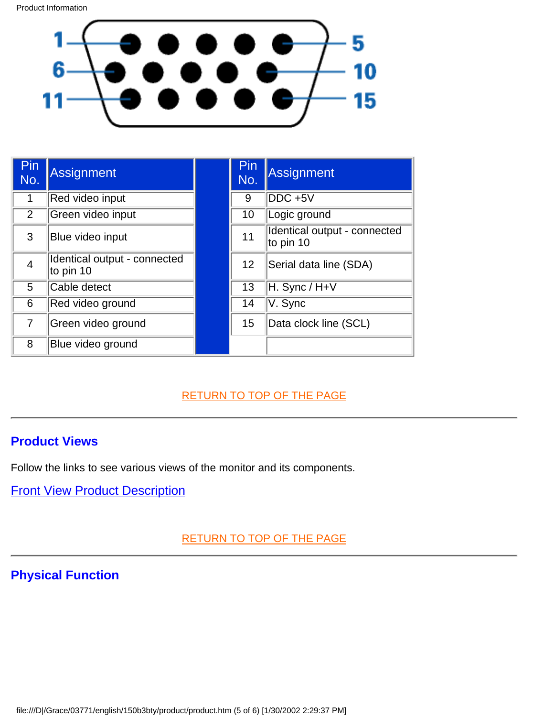

| Pin<br>No.     | <b>Assignment</b>                         | Pin<br>No. | Assignment                                |
|----------------|-------------------------------------------|------------|-------------------------------------------|
| 1              | Red video input                           | 9          | $DDC + 5V$                                |
| 2              | Green video input                         | 10         | Logic ground                              |
| 3              | Blue video input                          | 11         | Identical output - connected<br>to pin 10 |
| $\overline{4}$ | Identical output - connected<br>to pin 10 | 12         | Serial data line (SDA)                    |
| 5              | Cable detect                              | 13         | H. Sync / H+V                             |
| 6              | Red video ground                          | 14         | $\overline{V}$ . Sync                     |
| 7              | Green video ground                        | 15         | Data clock line (SCL)                     |
| 8              | Blue video ground                         |            |                                           |

### [RETURN TO TOP OF THE PAGE](#page-5-3)

# <span id="page-9-0"></span>**Product Views**

Follow the links to see various views of the monitor and its components.

**[Front View Product Description](#page-11-1)** 

[RETURN TO TOP OF THE PAGE](#page-5-3)

# <span id="page-9-1"></span>**Physical Function**

file:///D|/Grace/03771/english/150b3bty/product/product.htm (5 of 6) [1/30/2002 2:29:37 PM]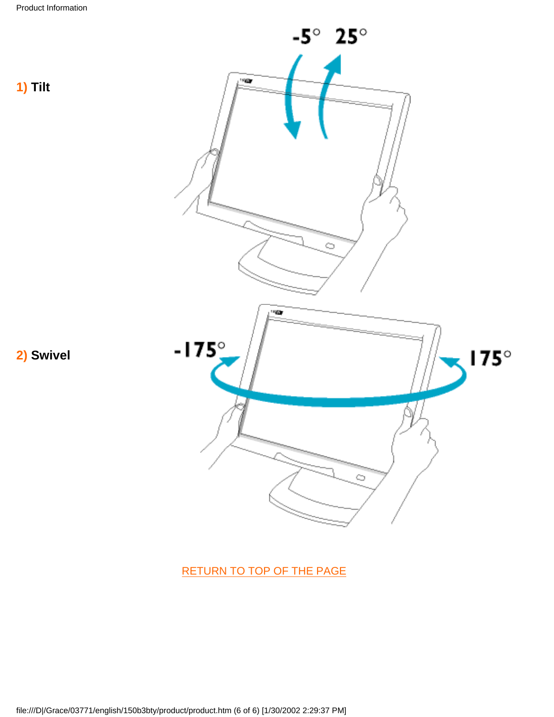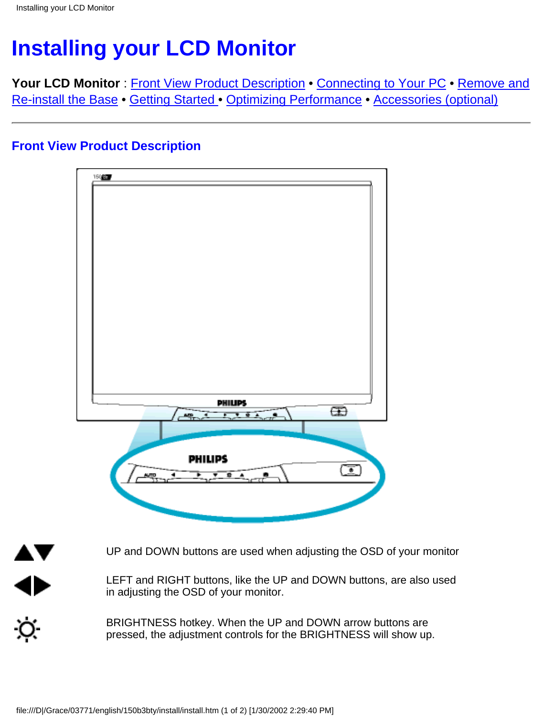$\begin{array}{c}\n\bullet \\
\bullet \\
\bullet\n\end{array}$ 

# <span id="page-11-2"></span><span id="page-11-0"></span>**Installing your LCD Monitor**

Your LCD Monitor : [Front View Product Description](#page-11-1) • [Connecting to Your PC](#page-49-0) • [Remove and](#page-52-0) [Re-install the Base](#page-52-0) • [Getting Started](#page-56-0) • [Optimizing Performance](#page-12-0) • [Accessories \(optional\)](#page-59-0)

#### <span id="page-11-1"></span>**Front View Product Description**



7, UP and DOWN buttons are used when adjusting the OSD of your monitor

> LEFT and RIGHT buttons, like the UP and DOWN buttons, are also used in adjusting the OSD of your monitor.

BRIGHTNESS hotkey. When the UP and DOWN arrow buttons are pressed, the adjustment controls for the BRIGHTNESS will show up.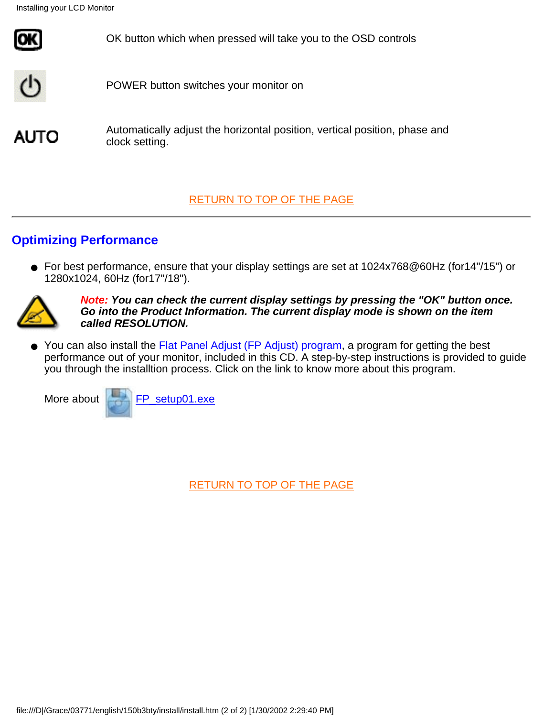

OK button which when pressed will take you to the OSD controls



POWER button switches your monitor on

**AUTO** 

Automatically adjust the horizontal position, vertical position, phase and clock setting.

### [RETURN TO TOP OF THE PAGE](#page-11-2)

# <span id="page-12-0"></span>**Optimizing Performance**

● For best performance, ensure that your display settings are set at 1024x768@60Hz (for14"/15") or 1280x1024, 60Hz (for17"/18").



*Note: You can check the current display settings by pressing the "OK" button once. Go into the Product Information. The current display mode is shown on the item called RESOLUTION.*

● You can also install the Flat Panel Adjust (FP Adjust) program, a program for getting the best performance out of your monitor, included in this CD. A step-by-step instructions is provided to guide you through the installtion process. Click on the link to know more about this program.

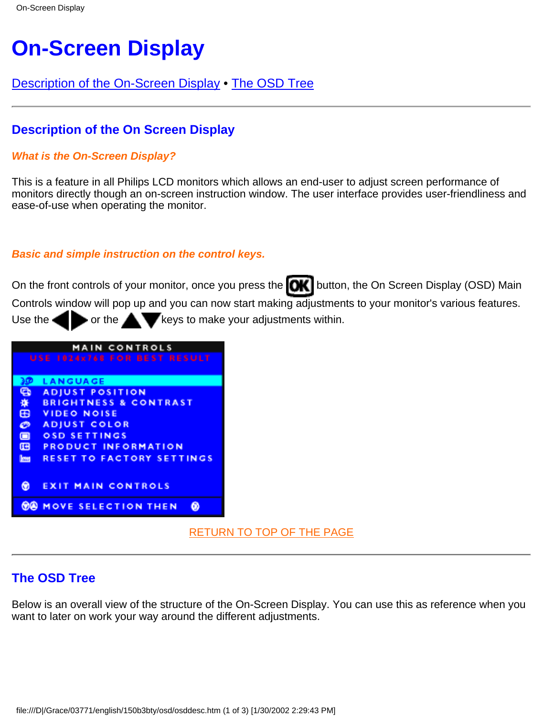# <span id="page-13-0"></span>**On-Screen Display**

### Description of the On-Screen Display • The OSD Tree

### **Description of the On Screen Display**

#### *What is the On-Screen Display?*

This is a feature in all Philips LCD monitors which allows an end-user to adjust screen performance of monitors directly though an on-screen instruction window. The user interface provides user-friendliness and ease-of-use when operating the monitor.

#### *Basic and simple instruction on the control keys.*

On the front controls of your monitor, once you press the **DK** button, the On Screen Display (OSD) Main Controls window will pop up and you can now start making adjustments to your monitor's various features. Use the  $\bullet$  or the  $\bullet$  veys to make your adjustments within.

| USE 1024x768 FOR BEST RESULT              |  |
|-------------------------------------------|--|
|                                           |  |
|                                           |  |
| 357 LANGUAGE                              |  |
| Q<br><b>ADJUST POSITION</b>               |  |
| 楽<br><b>BRIGHTNESS &amp; CONTRAST</b>     |  |
| $\mathbf{E}$<br><b>VIDEO NOISE</b>        |  |
| <b>ADJUST COLOR</b><br>Ø                  |  |
| $\blacksquare$<br><b>OSD SETTINGS</b>     |  |
| œ<br><b>PRODUCT INFORMATION</b>           |  |
| <b>RESET TO FACTORY SETTINGS</b><br>loton |  |
|                                           |  |
|                                           |  |
| $\bullet$<br><b>EXIT MAIN CONTROLS</b>    |  |
| <b>OO</b> MOVE SELECTION THEN<br>6        |  |
|                                           |  |

RETURN TO TOP OF THE PAGE

# **The OSD Tree**

Below is an overall view of the structure of the On-Screen Display. You can use this as reference when you want to later on work your way around the different adjustments.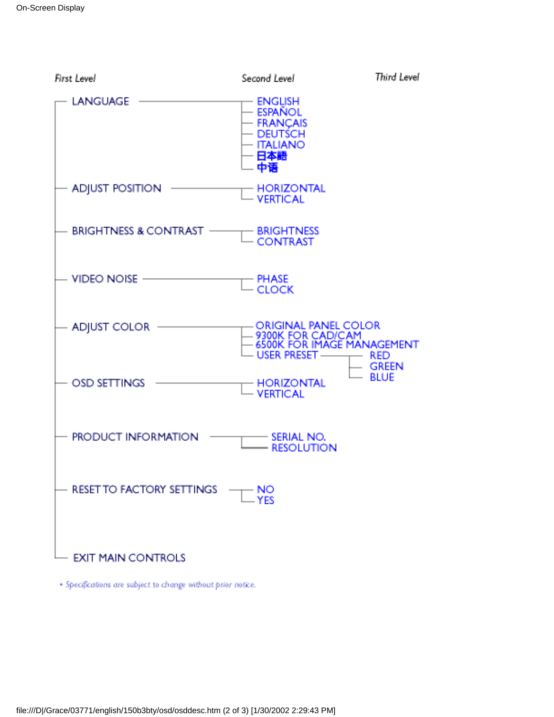

· Specifications are subject to change without prior notice.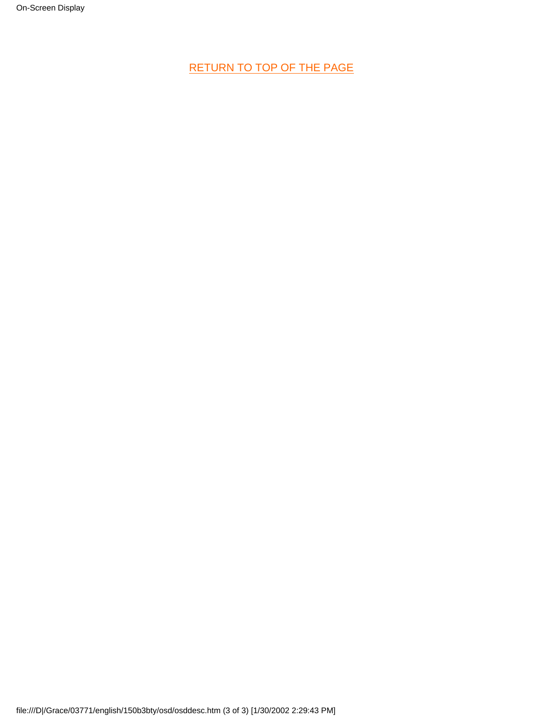On-Screen Display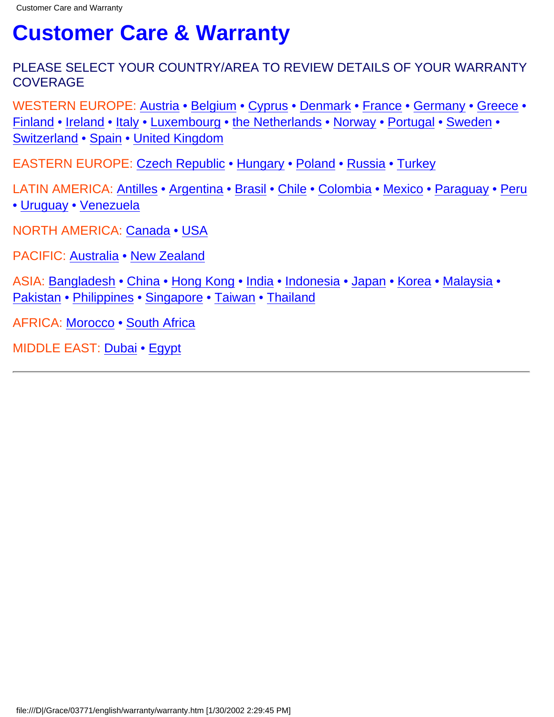# <span id="page-16-0"></span>**Customer Care & Warranty**

PLEASE SELECT YOUR COUNTRY/AREA TO REVIEW DETAILS OF YOUR WARRANTY **COVERAGE** 

WESTERN EUROPE: [Austria](#page-67-0) • [Belgium](#page-67-0) • [Cyprus](#page-67-0) • [Denmark](#page-67-0) • [France](#page-67-0) • [Germany](#page-67-0) • [Greece](#page-67-0) • [Finland](#page-67-0) • [Ireland](#page-67-0) • [Italy](#page-67-0) • [Luxembourg](#page-67-0) • [the Netherlands](#page-67-0) • [Norway](#page-67-0) • [Portugal](#page-67-0) • [Sweden](#page-67-0) • [Switzerland](#page-67-0) • [Spain](#page-67-0) • [United Kingdom](#page-67-0)

EASTERN EUROPE: [Czech Republic](#page-68-0) • [Hungary](#page-68-0) • [Poland](#page-68-0) • [Russia](#page-68-0) • [Turkey](#page-68-0)

LATIN AMERICA: [Antilles](#page-68-0) • [Argentina](#page-68-0) • [Brasil](#page-68-0) • [Chile](#page-68-0) • [Colombia](#page-68-0) • [Mexico](#page-68-0) • [Paraguay](#page-68-0) • [Peru](#page-68-0) • [Uruguay](#page-68-0) • [Venezuela](#page-68-0)

NORTH AMERICA: [Canada](#page-68-0) • [USA](#page-69-0)

PACIFIC: [Australia](#page-68-0) • [New Zealand](#page-68-0)

ASIA: [Bangladesh](#page-68-0) • [China](#page-68-0) • [Hong Kong](#page-68-0) • [India](#page-68-0) • [Indonesia](#page-68-0) • [Japan](#page-68-0) • [Korea](#page-68-0) • [Malaysia](#page-68-0) • [Pakistan](#page-68-0) • [Philippines](#page-68-0) • [Singapore](#page-68-0) • [Taiwan](#page-68-0) • [Thailand](#page-68-0)

AFRICA: [Morocco](#page-68-0) • [South Africa](#page-68-0)

MIDDLE EAST: [Dubai](#page-68-0) • [Egypt](#page-68-0)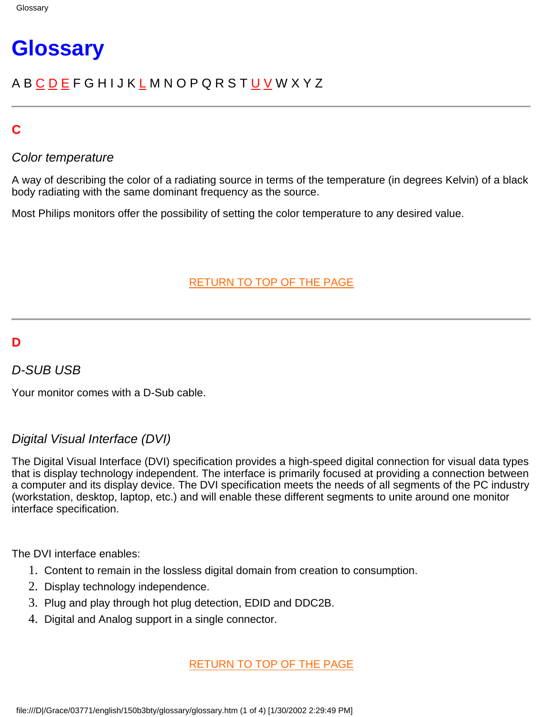# <span id="page-17-0"></span>**Glossary**

# A B C D E F G H I J K L M N O P Q R S T U V W X Y Z

# **C**

#### *Color temperature*

A way of describing the color of a radiating source in terms of the temperature (in degrees Kelvin) of a black body radiating with the same dominant frequency as the source.

Most Philips monitors offer the possibility of setting the color temperature to any desired value.

#### RETURN TO TOP OF THE PAGE

# **D**

### *D-SUB USB*

Your monitor comes with a D-Sub cable.

### *Digital Visual Interface (DVI)*

The Digital Visual Interface (DVI) specification provides a high-speed digital connection for visual data types that is display technology independent. The interface is primarily focused at providing a connection between a computer and its display device. The DVI specification meets the needs of all segments of the PC industry (workstation, desktop, laptop, etc.) and will enable these different segments to unite around one monitor interface specification.

The DVI interface enables:

- 1. Content to remain in the lossless digital domain from creation to consumption.
- 2. Display technology independence.
- 3. Plug and play through hot plug detection, EDID and DDC2B.
- 4. Digital and Analog support in a single connector.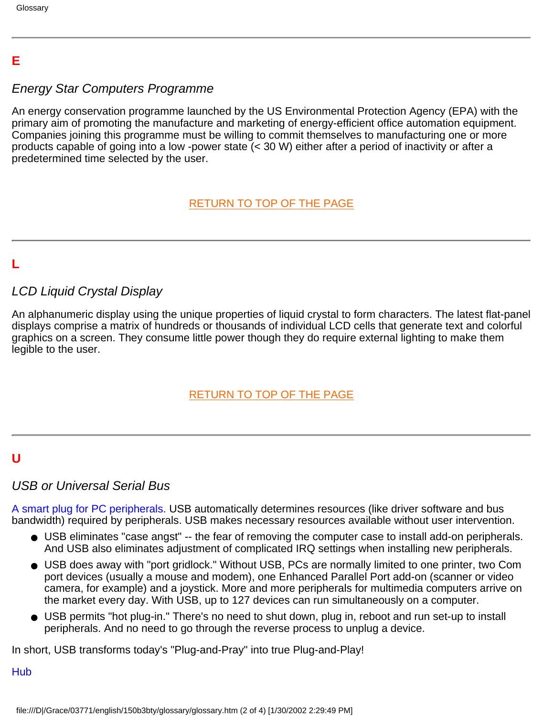# **E**

#### *Energy Star Computers Programme*

An energy conservation programme launched by the US Environmental Protection Agency (EPA) with the primary aim of promoting the manufacture and marketing of energy-efficient office automation equipment. Companies joining this programme must be willing to commit themselves to manufacturing one or more products capable of going into a low -power state (< 30 W) either after a period of inactivity or after a predetermined time selected by the user.

#### RETURN TO TOP OF THE PAGE

# **L**

#### *LCD Liquid Crystal Display*

An alphanumeric display using the unique properties of liquid crystal to form characters. The latest flat-panel displays comprise a matrix of hundreds or thousands of individual LCD cells that generate text and colorful graphics on a screen. They consume little power though they do require external lighting to make them legible to the user.

#### RETURN TO TOP OF THE PAGE

#### **U**

#### *USB or Universal Serial Bus*

A smart plug for PC peripherals. USB automatically determines resources (like driver software and bus bandwidth) required by peripherals. USB makes necessary resources available without user intervention.

- USB eliminates "case angst" -- the fear of removing the computer case to install add-on peripherals. And USB also eliminates adjustment of complicated IRQ settings when installing new peripherals.
- USB does away with "port gridlock." Without USB, PCs are normally limited to one printer, two Com port devices (usually a mouse and modem), one Enhanced Parallel Port add-on (scanner or video camera, for example) and a joystick. More and more peripherals for multimedia computers arrive on the market every day. With USB, up to 127 devices can run simultaneously on a computer.
- USB permits "hot plug-in." There's no need to shut down, plug in, reboot and run set-up to install peripherals. And no need to go through the reverse process to unplug a device.

In short, USB transforms today's "Plug-and-Pray" into true Plug-and-Play!

Hub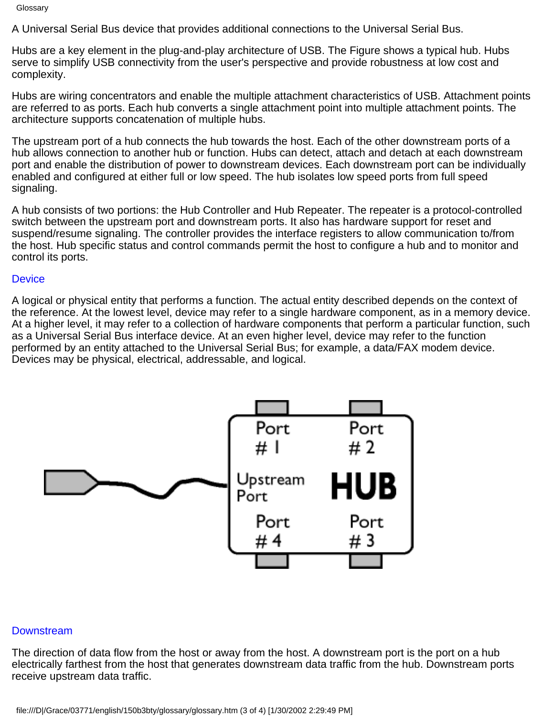Glossary

A Universal Serial Bus device that provides additional connections to the Universal Serial Bus.

Hubs are a key element in the plug-and-play architecture of USB. The Figure shows a typical hub. Hubs serve to simplify USB connectivity from the user's perspective and provide robustness at low cost and complexity.

Hubs are wiring concentrators and enable the multiple attachment characteristics of USB. Attachment points are referred to as ports. Each hub converts a single attachment point into multiple attachment points. The architecture supports concatenation of multiple hubs.

The upstream port of a hub connects the hub towards the host. Each of the other downstream ports of a hub allows connection to another hub or function. Hubs can detect, attach and detach at each downstream port and enable the distribution of power to downstream devices. Each downstream port can be individually enabled and configured at either full or low speed. The hub isolates low speed ports from full speed signaling.

A hub consists of two portions: the Hub Controller and Hub Repeater. The repeater is a protocol-controlled switch between the upstream port and downstream ports. It also has hardware support for reset and suspend/resume signaling. The controller provides the interface registers to allow communication to/from the host. Hub specific status and control commands permit the host to configure a hub and to monitor and control its ports.

#### **Device**

A logical or physical entity that performs a function. The actual entity described depends on the context of the reference. At the lowest level, device may refer to a single hardware component, as in a memory device. At a higher level, it may refer to a collection of hardware components that perform a particular function, such as a Universal Serial Bus interface device. At an even higher level, device may refer to the function performed by an entity attached to the Universal Serial Bus; for example, a data/FAX modem device. Devices may be physical, electrical, addressable, and logical.



#### **Downstream**

The direction of data flow from the host or away from the host. A downstream port is the port on a hub electrically farthest from the host that generates downstream data traffic from the hub. Downstream ports receive upstream data traffic.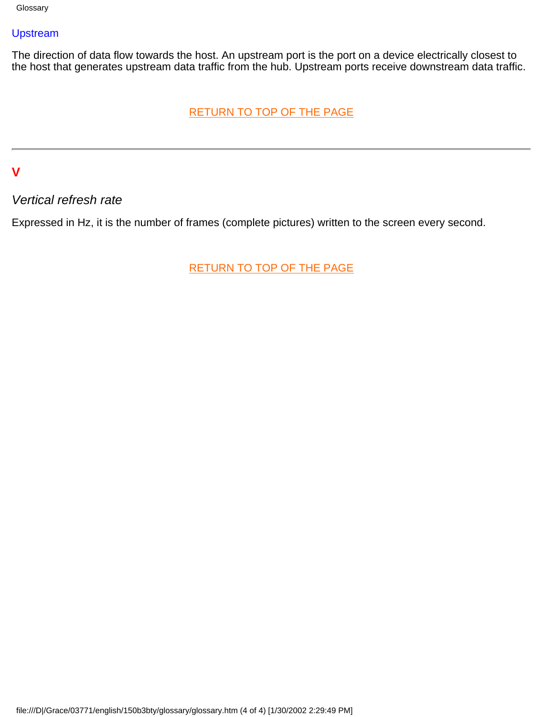#### Upstream

The direction of data flow towards the host. An upstream port is the port on a device electrically closest to the host that generates upstream data traffic from the hub. Upstream ports receive downstream data traffic.

RETURN TO TOP OF THE PAGE

**V**

*Vertical refresh rate*

Expressed in Hz, it is the number of frames (complete pictures) written to the screen every second.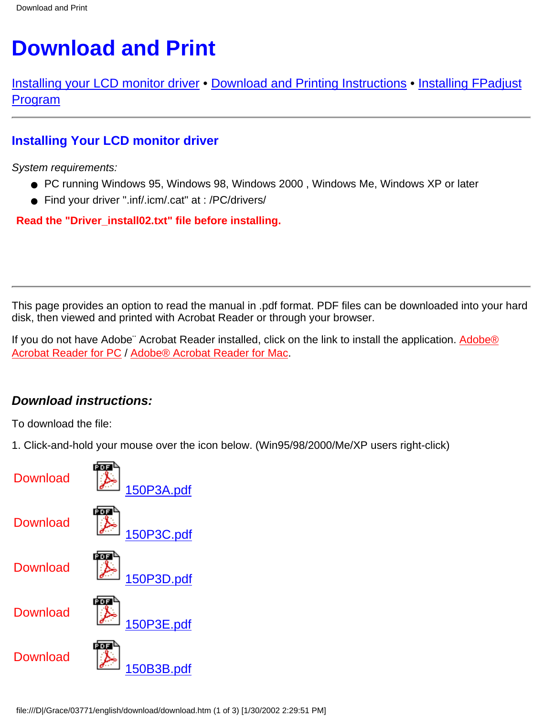# <span id="page-21-0"></span>**Download and Print**

Installing your LCD monitor driver • Download and Printing Instructions • Installing FPadjust Program

#### **Installing Your LCD monitor driver**

*System requirements:*

- PC running Windows 95, Windows 98, Windows 2000, Windows Me, Windows XP or later
- Find your driver ".inf/.icm/.cat" at : /PC/drivers/

**Read the "Driver\_install02.txt" file before installing.**

This page provides an option to read the manual in .pdf format. PDF files can be downloaded into your hard disk, then viewed and printed with Acrobat Reader or through your browser.

If you do not have Adobe" Acrobat Reader installed, click on the link to install the application. [Adobe®](file:///D|/Grace/pc/acrobat/ar405eng.exe) [Acrobat Reader for PC](file:///D|/Grace/pc/acrobat/ar405eng.exe) / [Adobe® Acrobat Reader for Mac.](file:///D|/Grace/mac/acrobat/Reader%204.05%20Installer)

### *Download instructions:*

To download the file:

1. Click-and-hold your mouse over the icon below. (Win95/98/2000/Me/XP users right-click)

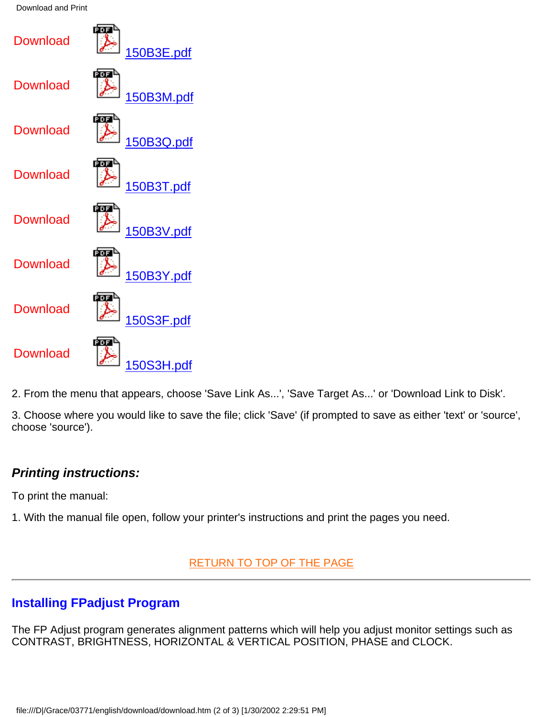Download and Print



2. From the menu that appears, choose 'Save Link As...', 'Save Target As...' or 'Download Link to Disk'.

3. Choose where you would like to save the file; click 'Save' (if prompted to save as either 'text' or 'source', choose 'source').

### *Printing instructions:*

To print the manual:

1. With the manual file open, follow your printer's instructions and print the pages you need.

#### RETURN TO TOP OF THE PAGE

### **Installing FPadjust Program**

The FP Adjust program generates alignment patterns which will help you adjust monitor settings such as CONTRAST, BRIGHTNESS, HORIZONTAL & VERTICAL POSITION, PHASE and CLOCK.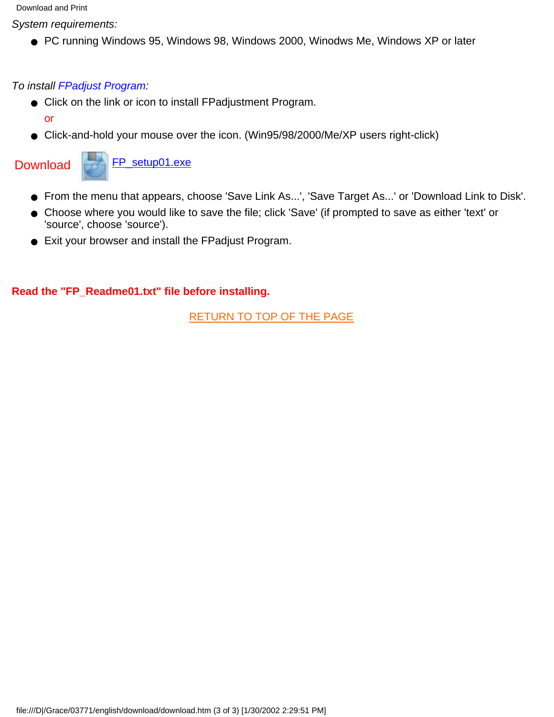#### Download and Print

*System requirements:*

● PC running Windows 95, Windows 98, Windows 2000, Winodws Me, Windows XP or later

#### *To install FPadjust Program:*

● Click on the link or icon to install FPadjustment Program.

or

● Click-and-hold your mouse over the icon. (Win95/98/2000/Me/XP users right-click)





- From the menu that appears, choose 'Save Link As...', 'Save Target As...' or 'Download Link to Disk'.
- Choose where you would like to save the file; click 'Save' (if prompted to save as either 'text' or 'source', choose 'source').
- Exit your browser and install the FPadjust Program.

#### **Read the "FP\_Readme01.txt" file before installing.**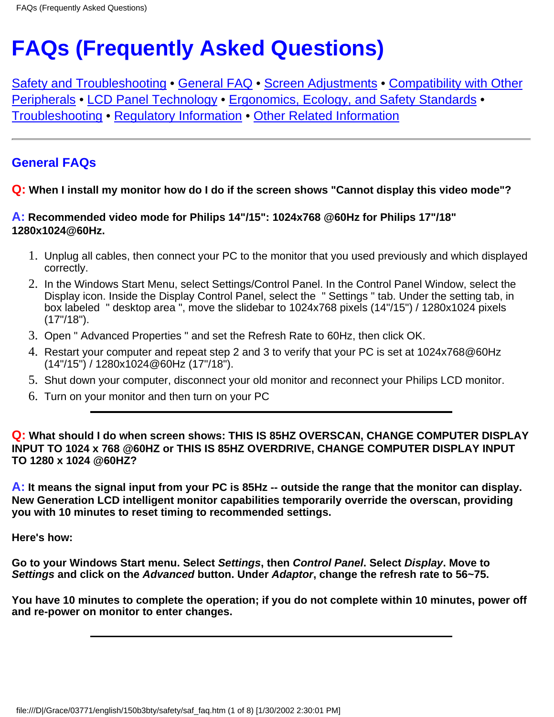# <span id="page-24-0"></span>**FAQs (Frequently Asked Questions)**

[Safety and Troubleshooting](#page-1-0) • General FAQ • Screen Adjustments • [Compatibility with Other](#page-27-0) [Peripherals](#page-27-0) • LCD Panel Technology • Ergonomics, Ecology, and Safety Standards • [Troubleshooting](#page-32-0) • [Regulatory Information](#page-35-0) • [Other Related Information](#page-45-0)

#### **General FAQs**

**Q: When I install my monitor how do I do if the screen shows "Cannot display this video mode"?**

#### **A: Recommended video mode for Philips 14"/15": 1024x768 @60Hz for Philips 17"/18" 1280x1024@60Hz.**

- 1. Unplug all cables, then connect your PC to the monitor that you used previously and which displayed correctly.
- 2. In the Windows Start Menu, select Settings/Control Panel. In the Control Panel Window, select the Display icon. Inside the Display Control Panel, select the " Settings " tab. Under the setting tab, in box labeled " desktop area ", move the slidebar to 1024x768 pixels (14"/15") / 1280x1024 pixels (17"/18").
- 3. Open " Advanced Properties " and set the Refresh Rate to 60Hz, then click OK.
- $4.$  Restart your computer and repeat step 2 and 3 to verify that your PC is set at 1024x768@60Hz (14"/15") / 1280x1024@60Hz (17"/18").
- 5. Shut down your computer, disconnect your old monitor and reconnect your Philips LCD monitor.
- 6. Turn on your monitor and then turn on your PC

**Q: What should I do when screen shows: THIS IS 85HZ OVERSCAN, CHANGE COMPUTER DISPLAY INPUT TO 1024 x 768 @60HZ or THIS IS 85HZ OVERDRIVE, CHANGE COMPUTER DISPLAY INPUT TO 1280 x 1024 @60HZ?**

**A: It means the signal input from your PC is 85Hz -- outside the range that the monitor can display. New Generation LCD intelligent monitor capabilities temporarily override the overscan, providing you with 10 minutes to reset timing to recommended settings.**

**Here's how:**

**Go to your Windows Start menu. Select** *Settings***, then** *Control Panel***. Select** *Display***. Move to** *Settings* **and click on the** *Advanced* **button. Under** *Adaptor***, change the refresh rate to 56~75.**

**You have 10 minutes to complete the operation; if you do not complete within 10 minutes, power off and re-power on monitor to enter changes.**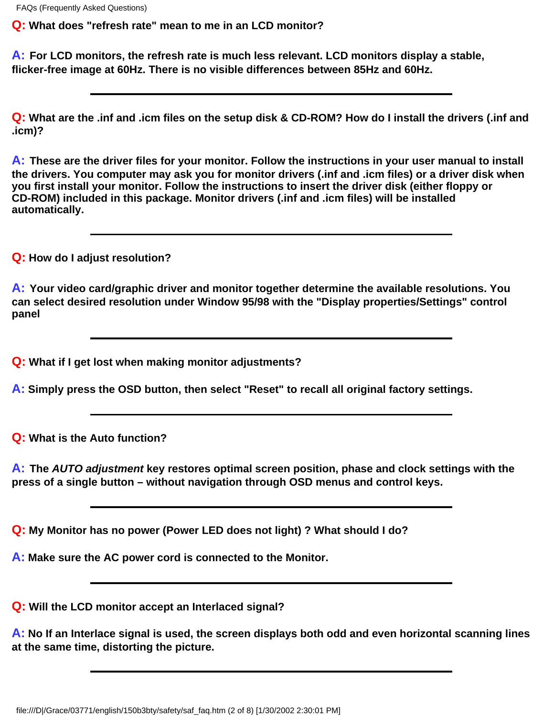FAQs (Frequently Asked Questions)

**Q: What does "refresh rate" mean to me in an LCD monitor?**

**A: For LCD monitors, the refresh rate is much less relevant. LCD monitors display a stable, flicker-free image at 60Hz. There is no visible differences between 85Hz and 60Hz.**

**Q: What are the .inf and .icm files on the setup disk & CD-ROM? How do I install the drivers (.inf and .icm)?**

**A: These are the driver files for your monitor. Follow the instructions in your user manual to install the drivers. You computer may ask you for monitor drivers (.inf and .icm files) or a driver disk when you first install your monitor. Follow the instructions to insert the driver disk (either floppy or CD-ROM) included in this package. Monitor drivers (.inf and .icm files) will be installed automatically.**

**Q: How do I adjust resolution?**

**A: Your video card/graphic driver and monitor together determine the available resolutions. You can select desired resolution under Window 95/98 with the "Display properties/Settings" control panel**

**Q: What if I get lost when making monitor adjustments?**

**A: Simply press the OSD button, then select "Reset" to recall all original factory settings.**

**Q: What is the Auto function?**

**A: The** *AUTO adjustment* **key restores optimal screen position, phase and clock settings with the press of a single button – without navigation through OSD menus and control keys.**

**Q: My Monitor has no power (Power LED does not light) ? What should I do?**

**A: Make sure the AC power cord is connected to the Monitor.**

**Q: Will the LCD monitor accept an Interlaced signal?**

**A: No If an Interlace signal is used, the screen displays both odd and even horizontal scanning lines at the same time, distorting the picture.**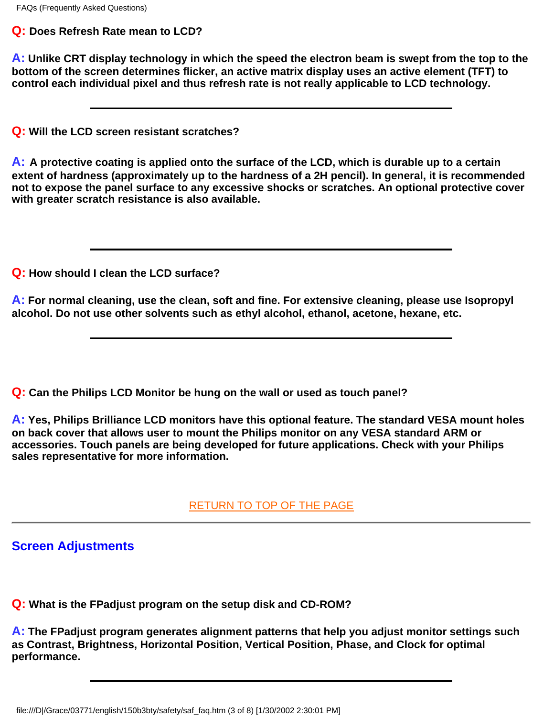**Q: Does Refresh Rate mean to LCD?**

**A: Unlike CRT display technology in which the speed the electron beam is swept from the top to the bottom of the screen determines flicker, an active matrix display uses an active element (TFT) to control each individual pixel and thus refresh rate is not really applicable to LCD technology.**

**Q: Will the LCD screen resistant scratches?**

**A: A protective coating is applied onto the surface of the LCD, which is durable up to a certain extent of hardness (approximately up to the hardness of a 2H pencil). In general, it is recommended not to expose the panel surface to any excessive shocks or scratches. An optional protective cover with greater scratch resistance is also available.**

**Q: How should I clean the LCD surface?**

**A: For normal cleaning, use the clean, soft and fine. For extensive cleaning, please use Isopropyl alcohol. Do not use other solvents such as ethyl alcohol, ethanol, acetone, hexane, etc.**

**Q: Can the Philips LCD Monitor be hung on the wall or used as touch panel?**

**A: Yes, Philips Brilliance LCD monitors have this optional feature. The standard VESA mount holes on back cover that allows user to mount the Philips monitor on any VESA standard ARM or accessories. Touch panels are being developed for future applications. Check with your Philips sales representative for more information.**

RETURN TO TOP OF THE PAGE

**Screen Adjustments**

**Q: What is the FPadjust program on the setup disk and CD-ROM?**

**A: The FPadjust program generates alignment patterns that help you adjust monitor settings such as Contrast, Brightness, Horizontal Position, Vertical Position, Phase, and Clock for optimal performance.**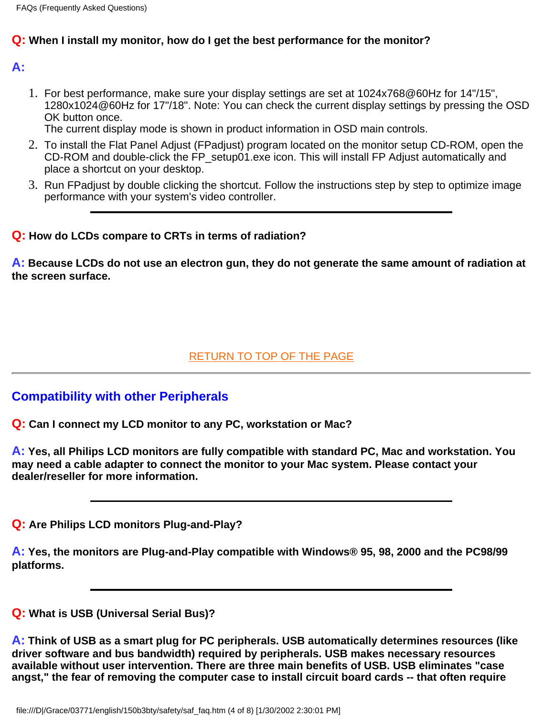#### **Q: When I install my monitor, how do I get the best performance for the monitor?**

**A:**

- For best performance, make sure your display settings are set at 1024x768@60Hz for 14"/15", 1. 1280x1024@60Hz for 17"/18". Note: You can check the current display settings by pressing the OSD OK button once. The current display mode is shown in product information in OSD main controls.
- 2. To install the Flat Panel Adjust (FPadjust) program located on the monitor setup CD-ROM, open the CD-ROM and double-click the FP\_setup01.exe icon. This will install FP Adjust automatically and place a shortcut on your desktop.
- 3. Run FPadjust by double clicking the shortcut. Follow the instructions step by step to optimize image performance with your system's video controller.

### **Q: How do LCDs compare to CRTs in terms of radiation?**

**A: Because LCDs do not use an electron gun, they do not generate the same amount of radiation at the screen surface.**

# RETURN TO TOP OF THE PAGE

# <span id="page-27-0"></span>**Compatibility with other Peripherals**

**Q: Can I connect my LCD monitor to any PC, workstation or Mac?**

**A: Yes, all Philips LCD monitors are fully compatible with standard PC, Mac and workstation. You may need a cable adapter to connect the monitor to your Mac system. Please contact your dealer/reseller for more information.**

**Q: Are Philips LCD monitors Plug-and-Play?**

**A: Yes, the monitors are Plug-and-Play compatible with Windows® 95, 98, 2000 and the PC98/99 platforms.**

**Q: What is USB (Universal Serial Bus)?**

**A: Think of USB as a smart plug for PC peripherals. USB automatically determines resources (like driver software and bus bandwidth) required by peripherals. USB makes necessary resources available without user intervention. There are three main benefits of USB. USB eliminates "case angst," the fear of removing the computer case to install circuit board cards -- that often require**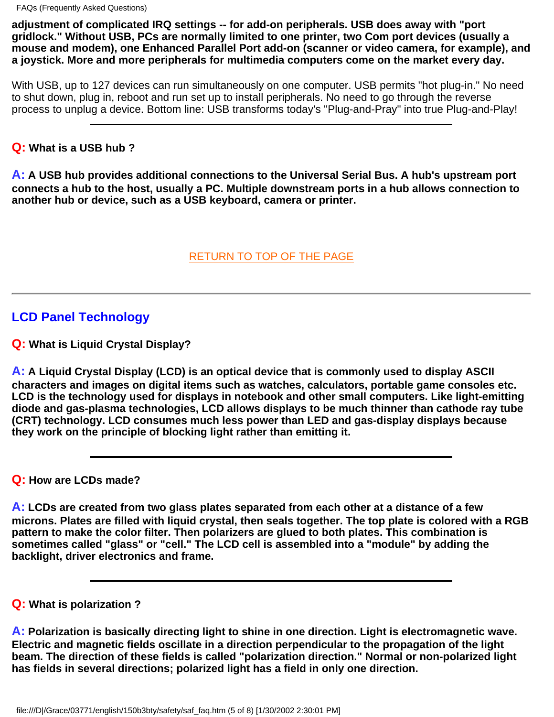FAQs (Frequently Asked Questions)

**adjustment of complicated IRQ settings -- for add-on peripherals. USB does away with "port gridlock." Without USB, PCs are normally limited to one printer, two Com port devices (usually a mouse and modem), one Enhanced Parallel Port add-on (scanner or video camera, for example), and a joystick. More and more peripherals for multimedia computers come on the market every day.**

With USB, up to 127 devices can run simultaneously on one computer. USB permits "hot plug-in." No need to shut down, plug in, reboot and run set up to install peripherals. No need to go through the reverse process to unplug a device. Bottom line: USB transforms today's "Plug-and-Pray" into true Plug-and-Play!

#### **Q: What is a USB hub ?**

**A: A USB hub provides additional connections to the Universal Serial Bus. A hub's upstream port connects a hub to the host, usually a PC. Multiple downstream ports in a hub allows connection to another hub or device, such as a USB keyboard, camera or printer.**

#### RETURN TO TOP OF THE PAGE

### **LCD Panel Technology**

**Q: What is Liquid Crystal Display?**

**A: A Liquid Crystal Display (LCD) is an optical device that is commonly used to display ASCII characters and images on digital items such as watches, calculators, portable game consoles etc. LCD is the technology used for displays in notebook and other small computers. Like light-emitting diode and gas-plasma technologies, LCD allows displays to be much thinner than cathode ray tube (CRT) technology. LCD consumes much less power than LED and gas-display displays because they work on the principle of blocking light rather than emitting it.**

**Q: How are LCDs made?**

**A: LCDs are created from two glass plates separated from each other at a distance of a few microns. Plates are filled with liquid crystal, then seals together. The top plate is colored with a RGB pattern to make the color filter. Then polarizers are glued to both plates. This combination is sometimes called "glass" or "cell." The LCD cell is assembled into a "module" by adding the backlight, driver electronics and frame.**

#### **Q: What is polarization ?**

**A: Polarization is basically directing light to shine in one direction. Light is electromagnetic wave. Electric and magnetic fields oscillate in a direction perpendicular to the propagation of the light beam. The direction of these fields is called "polarization direction." Normal or non-polarized light has fields in several directions; polarized light has a field in only one direction.**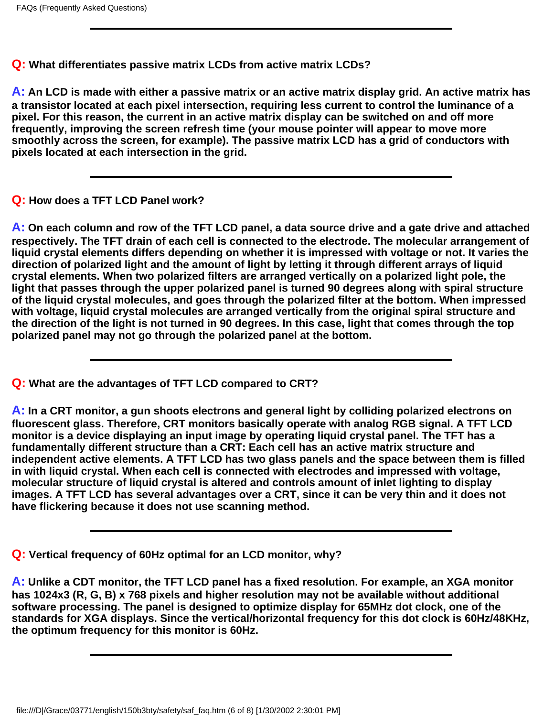**Q: What differentiates passive matrix LCDs from active matrix LCDs?**

**A: An LCD is made with either a passive matrix or an active matrix display grid. An active matrix has a transistor located at each pixel intersection, requiring less current to control the luminance of a pixel. For this reason, the current in an active matrix display can be switched on and off more frequently, improving the screen refresh time (your mouse pointer will appear to move more smoothly across the screen, for example). The passive matrix LCD has a grid of conductors with pixels located at each intersection in the grid.**

**Q: How does a TFT LCD Panel work?**

**A: On each column and row of the TFT LCD panel, a data source drive and a gate drive and attached respectively. The TFT drain of each cell is connected to the electrode. The molecular arrangement of liquid crystal elements differs depending on whether it is impressed with voltage or not. It varies the direction of polarized light and the amount of light by letting it through different arrays of liquid crystal elements. When two polarized filters are arranged vertically on a polarized light pole, the light that passes through the upper polarized panel is turned 90 degrees along with spiral structure of the liquid crystal molecules, and goes through the polarized filter at the bottom. When impressed with voltage, liquid crystal molecules are arranged vertically from the original spiral structure and the direction of the light is not turned in 90 degrees. In this case, light that comes through the top polarized panel may not go through the polarized panel at the bottom.**

**Q: What are the advantages of TFT LCD compared to CRT?**

**A: In a CRT monitor, a gun shoots electrons and general light by colliding polarized electrons on fluorescent glass. Therefore, CRT monitors basically operate with analog RGB signal. A TFT LCD monitor is a device displaying an input image by operating liquid crystal panel. The TFT has a fundamentally different structure than a CRT: Each cell has an active matrix structure and independent active elements. A TFT LCD has two glass panels and the space between them is filled in with liquid crystal. When each cell is connected with electrodes and impressed with voltage, molecular structure of liquid crystal is altered and controls amount of inlet lighting to display images. A TFT LCD has several advantages over a CRT, since it can be very thin and it does not have flickering because it does not use scanning method.**

**Q: Vertical frequency of 60Hz optimal for an LCD monitor, why?**

**A: Unlike a CDT monitor, the TFT LCD panel has a fixed resolution. For example, an XGA monitor has 1024x3 (R, G, B) x 768 pixels and higher resolution may not be available without additional software processing. The panel is designed to optimize display for 65MHz dot clock, one of the standards for XGA displays. Since the vertical/horizontal frequency for this dot clock is 60Hz/48KHz, the optimum frequency for this monitor is 60Hz.**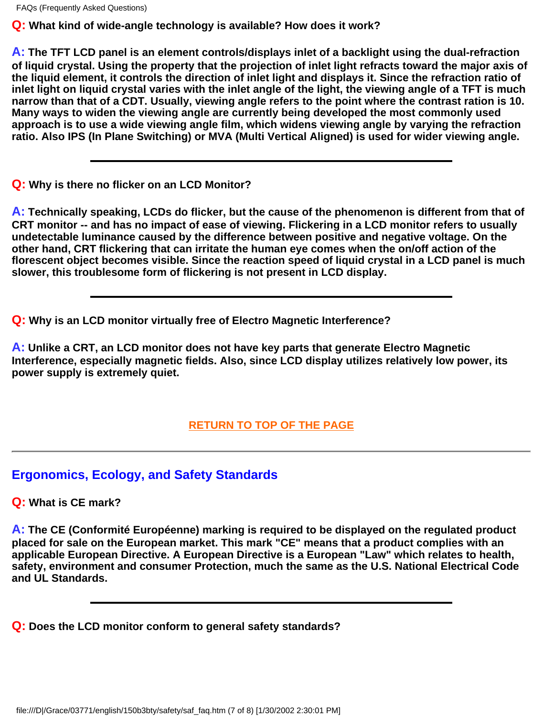FAQs (Frequently Asked Questions)

**Q: What kind of wide-angle technology is available? How does it work?**

**A: The TFT LCD panel is an element controls/displays inlet of a backlight using the dual-refraction of liquid crystal. Using the property that the projection of inlet light refracts toward the major axis of the liquid element, it controls the direction of inlet light and displays it. Since the refraction ratio of inlet light on liquid crystal varies with the inlet angle of the light, the viewing angle of a TFT is much narrow than that of a CDT. Usually, viewing angle refers to the point where the contrast ration is 10. Many ways to widen the viewing angle are currently being developed the most commonly used approach is to use a wide viewing angle film, which widens viewing angle by varying the refraction ratio. Also IPS (In Plane Switching) or MVA (Multi Vertical Aligned) is used for wider viewing angle.**

**Q: Why is there no flicker on an LCD Monitor?**

**A: Technically speaking, LCDs do flicker, but the cause of the phenomenon is different from that of CRT monitor -- and has no impact of ease of viewing. Flickering in a LCD monitor refers to usually undetectable luminance caused by the difference between positive and negative voltage. On the other hand, CRT flickering that can irritate the human eye comes when the on/off action of the florescent object becomes visible. Since the reaction speed of liquid crystal in a LCD panel is much slower, this troublesome form of flickering is not present in LCD display.**

**Q: Why is an LCD monitor virtually free of Electro Magnetic Interference?**

**A: Unlike a CRT, an LCD monitor does not have key parts that generate Electro Magnetic Interference, especially magnetic fields. Also, since LCD display utilizes relatively low power, its power supply is extremely quiet.**

**RETURN TO TOP OF THE PAGE**

# **Ergonomics, Ecology, and Safety Standards**

**Q: What is CE mark?**

**A: The CE (Conformité Européenne) marking is required to be displayed on the regulated product placed for sale on the European market. This mark "CE" means that a product complies with an applicable European Directive. A European Directive is a European "Law" which relates to health, safety, environment and consumer Protection, much the same as the U.S. National Electrical Code and UL Standards.**

**Q: Does the LCD monitor conform to general safety standards?**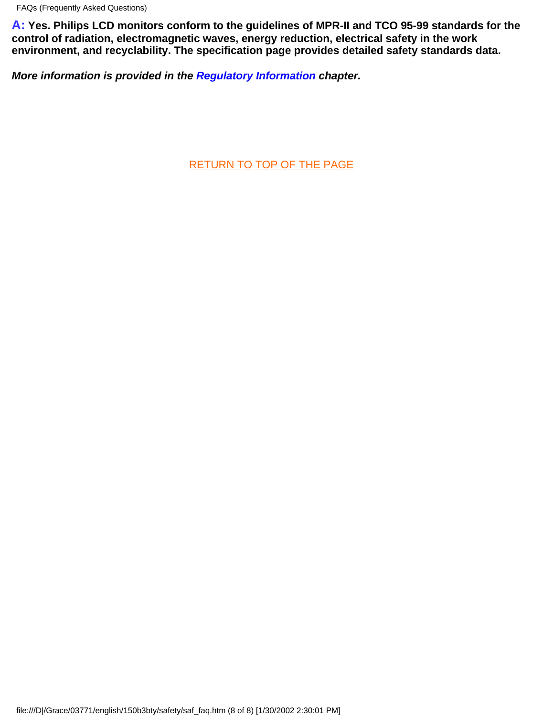**A: Yes. Philips LCD monitors conform to the guidelines of MPR-II and TCO 95-99 standards for the control of radiation, electromagnetic waves, energy reduction, electrical safety in the work environment, and recyclability. The specification page provides detailed safety standards data.**

*More information is provided in the [Regulatory Information](#page-35-0) chapter.*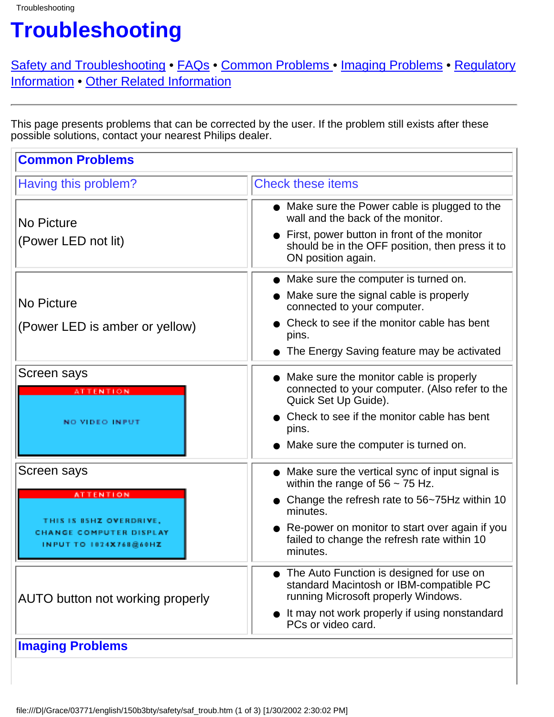# <span id="page-32-3"></span><span id="page-32-0"></span>**Troubleshooting**

# [Safety and Troubleshooting](#page-1-0) • [FAQs](#page-24-0) • [Common Problems](#page-32-1) • [Imaging Problems](#page-32-2) • [Regulatory](#page-35-0) [Information](#page-35-0) • [Other Related Information](#page-45-0)

This page presents problems that can be corrected by the user. If the problem still exists after these possible solutions, contact your nearest Philips dealer.

<span id="page-32-2"></span><span id="page-32-1"></span>

| <b>Common Problems</b>                                                                                          |                                                                                                                                                                                                                                                                 |  |  |
|-----------------------------------------------------------------------------------------------------------------|-----------------------------------------------------------------------------------------------------------------------------------------------------------------------------------------------------------------------------------------------------------------|--|--|
| Having this problem?                                                                                            | <b>Check these items</b>                                                                                                                                                                                                                                        |  |  |
| No Picture<br>(Power LED not lit)                                                                               | • Make sure the Power cable is plugged to the<br>wall and the back of the monitor.<br>First, power button in front of the monitor<br>should be in the OFF position, then press it to<br>ON position again.                                                      |  |  |
| No Picture<br>(Power LED is amber or yellow)                                                                    | • Make sure the computer is turned on.<br>Make sure the signal cable is properly<br>connected to your computer.<br>Check to see if the monitor cable has bent<br>pins.<br>• The Energy Saving feature may be activated                                          |  |  |
| Screen says<br><b>ATTENTION</b><br><b>NO VIDEO INPUT</b>                                                        | • Make sure the monitor cable is properly<br>connected to your computer. (Also refer to the<br>Quick Set Up Guide).<br>Check to see if the monitor cable has bent<br>pins.<br>Make sure the computer is turned on.                                              |  |  |
| Screen says<br><b>ATTENTION</b><br>THIS IS 85HZ OVERDRIVE,<br>CHANGE COMPUTER DISPLAY<br>INPUT TO 1024X768@60HZ | Make sure the vertical sync of input signal is<br>within the range of $56 \sim 75$ Hz.<br>Change the refresh rate to 56~75Hz within 10<br>minutes.<br>Re-power on monitor to start over again if you<br>failed to change the refresh rate within 10<br>minutes. |  |  |
| AUTO button not working properly                                                                                | The Auto Function is designed for use on<br>standard Macintosh or IBM-compatible PC<br>running Microsoft properly Windows.<br>It may not work properly if using nonstandard<br>PCs or video card.                                                               |  |  |
| <b>Imaging Problems</b>                                                                                         |                                                                                                                                                                                                                                                                 |  |  |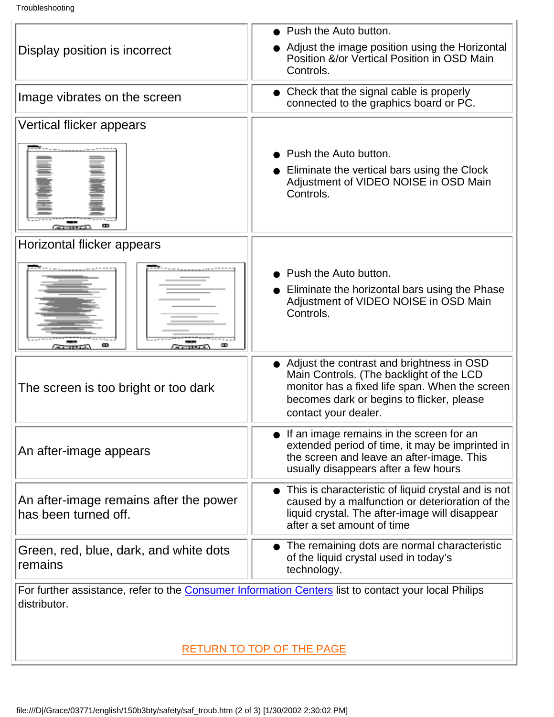Troubleshooting

|                                                                                                                      | Push the Auto button.                                                                                                                                                                                        |  |
|----------------------------------------------------------------------------------------------------------------------|--------------------------------------------------------------------------------------------------------------------------------------------------------------------------------------------------------------|--|
| Display position is incorrect                                                                                        | Adjust the image position using the Horizontal<br>Position &/or Vertical Position in OSD Main<br>Controls.                                                                                                   |  |
| Image vibrates on the screen                                                                                         | Check that the signal cable is properly<br>connected to the graphics board or PC.                                                                                                                            |  |
| Vertical flicker appears                                                                                             |                                                                                                                                                                                                              |  |
|                                                                                                                      | Push the Auto button.<br>Eliminate the vertical bars using the Clock<br>Adjustment of VIDEO NOISE in OSD Main<br>Controls.                                                                                   |  |
| Horizontal flicker appears                                                                                           |                                                                                                                                                                                                              |  |
|                                                                                                                      | Push the Auto button.<br>Eliminate the horizontal bars using the Phase<br>Adjustment of VIDEO NOISE in OSD Main<br>Controls.                                                                                 |  |
| The screen is too bright or too dark                                                                                 | Adjust the contrast and brightness in OSD<br>Main Controls. (The backlight of the LCD<br>monitor has a fixed life span. When the screen<br>becomes dark or begins to flicker, please<br>contact your dealer. |  |
| An after-image appears                                                                                               | If an image remains in the screen for an<br>extended period of time, it may be imprinted in<br>the screen and leave an after-image. This<br>usually disappears after a few hours                             |  |
| An after-image remains after the power<br>has been turned off.                                                       | This is characteristic of liquid crystal and is not<br>caused by a malfunction or deterioration of the<br>liquid crystal. The after-image will disappear<br>after a set amount of time                       |  |
| Green, red, blue, dark, and white dots<br>remains                                                                    | The remaining dots are normal characteristic<br>of the liquid crystal used in today's<br>technology.                                                                                                         |  |
| For further assistance, refer to the Consumer Information Centers list to contact your local Philips<br>distributor. |                                                                                                                                                                                                              |  |
|                                                                                                                      |                                                                                                                                                                                                              |  |
|                                                                                                                      | RETURN TO TOP OF THE PAGE                                                                                                                                                                                    |  |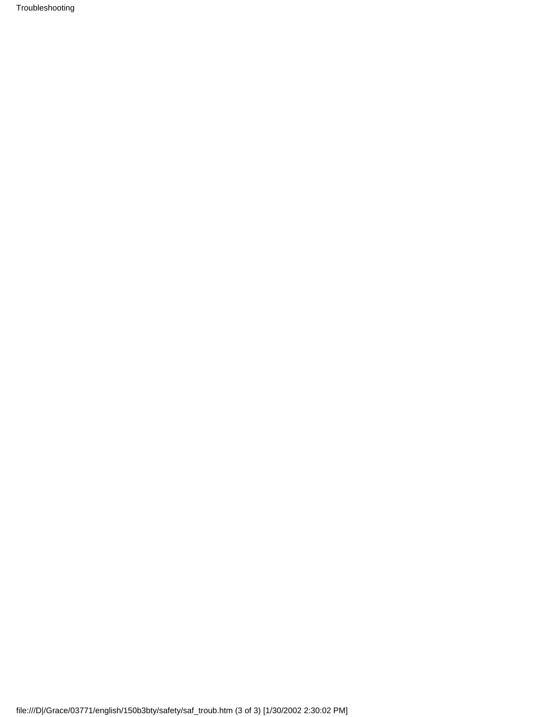Troubleshooting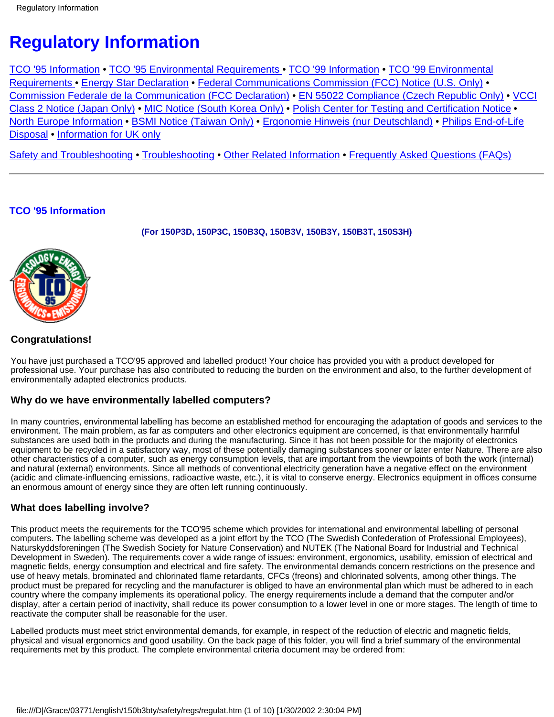# <span id="page-35-0"></span>**Regulatory Information**

[TCO '95 Information](#page-35-1) • [TCO '95 Environmental Requirements](#page-36-0) • [TCO '99 Information](#page-37-0) • [TCO '99 Environmental](#page-37-1) [Requirements](#page-37-1) • [Energy Star Declaration](#page-38-0) • [Federal Communications Commission \(FCC\) Notice \(U.S. Only\)](#page-39-0) • [Commission Federale de la Communication \(FCC Declaration\)](#page-39-1) • [EN 55022 Compliance \(Czech Republic Only\)](#page-40-0) • [VCCI](#page-40-1) [Class 2 Notice \(Japan Only\)](#page-40-1) • [MIC Notice \(South Korea Only\)](#page-40-2) • [Polish Center for Testing and Certification Notice](#page-41-0) • [North Europe Information](#page-42-0) • [BSMI Notice \(Taiwan Only\)](#page-42-1) • [Ergonomie Hinweis \(nur Deutschland\)](#page-42-2) • [Philips End-of-Life](#page-43-0) [Disposal](#page-43-0) • [Information for UK only](#page-43-1)

[Safety and Troubleshooting](#page-1-0) • [Troubleshooting](#page-32-0) • [Other Related Information](#page-45-0) • [Frequently Asked Questions \(FAQs\)](#page-24-0)

#### <span id="page-35-1"></span>**TCO '95 Information**

**(For 150P3D, 150P3C, 150B3Q, 150B3V, 150B3Y, 150B3T, 150S3H)**



#### **Congratulations!**

You have just purchased a TCO'95 approved and labelled product! Your choice has provided you with a product developed for professional use. Your purchase has also contributed to reducing the burden on the environment and also, to the further development of environmentally adapted electronics products.

#### **Why do we have environmentally labelled computers?**

In many countries, environmental labelling has become an established method for encouraging the adaptation of goods and services to the environment. The main problem, as far as computers and other electronics equipment are concerned, is that environmentally harmful substances are used both in the products and during the manufacturing. Since it has not been possible for the majority of electronics equipment to be recycled in a satisfactory way, most of these potentially damaging substances sooner or later enter Nature. There are also other characteristics of a computer, such as energy consumption levels, that are important from the viewpoints of both the work (internal) and natural (external) environments. Since all methods of conventional electricity generation have a negative effect on the environment (acidic and climate-influencing emissions, radioactive waste, etc.), it is vital to conserve energy. Electronics equipment in offices consume an enormous amount of energy since they are often left running continuously.

#### **What does labelling involve?**

This product meets the requirements for the TCO'95 scheme which provides for international and environmental labelling of personal computers. The labelling scheme was developed as a joint effort by the TCO (The Swedish Confederation of Professional Employees), Naturskyddsforeningen (The Swedish Society for Nature Conservation) and NUTEK (The National Board for Industrial and Technical Development in Sweden). The requirements cover a wide range of issues: environment, ergonomics, usability, emission of electrical and magnetic fields, energy consumption and electrical and fire safety. The environmental demands concern restrictions on the presence and use of heavy metals, brominated and chlorinated flame retardants, CFCs (freons) and chlorinated solvents, among other things. The product must be prepared for recycling and the manufacturer is obliged to have an environmental plan which must be adhered to in each country where the company implements its operational policy. The energy requirements include a demand that the computer and/or display, after a certain period of inactivity, shall reduce its power consumption to a lower level in one or more stages. The length of time to reactivate the computer shall be reasonable for the user.

Labelled products must meet strict environmental demands, for example, in respect of the reduction of electric and magnetic fields, physical and visual ergonomics and good usability. On the back page of this folder, you will find a brief summary of the environmental requirements met by this product. The complete environmental criteria document may be ordered from: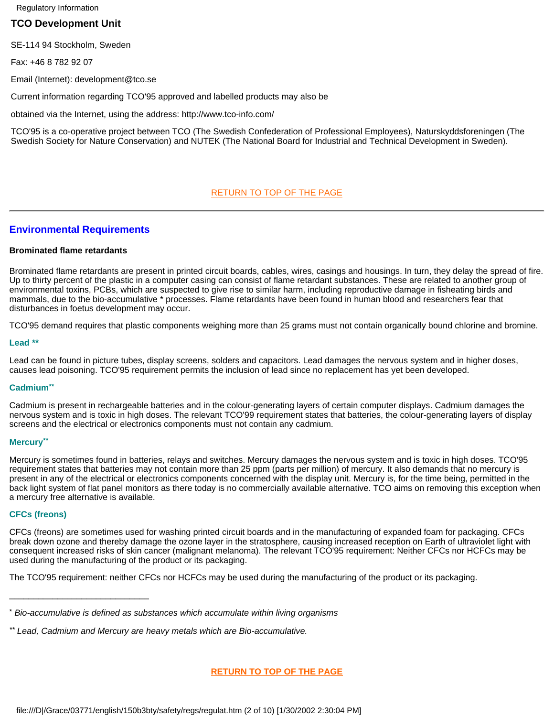## **TCO Development Unit**

SE-114 94 Stockholm, Sweden

Fax: +46 8 782 92 07

Email (Internet): development@tco.se

Current information regarding TCO'95 approved and labelled products may also be

obtained via the Internet, using the address: http://www.tco-info.com/

TCO'95 is a co-operative project between TCO (The Swedish Confederation of Professional Employees), Naturskyddsforeningen (The Swedish Society for Nature Conservation) and NUTEK (The National Board for Industrial and Technical Development in Sweden).

## [RETURN TO TOP OF THE PAGE](#page-35-0)

## **Environmental Requirements**

#### **Brominated flame retardants**

Brominated flame retardants are present in printed circuit boards, cables, wires, casings and housings. In turn, they delay the spread of fire. Up to thirty percent of the plastic in a computer casing can consist of flame retardant substances. These are related to another group of environmental toxins, PCBs, which are suspected to give rise to similar harm, including reproductive damage in fisheating birds and mammals, due to the bio-accumulative \* processes. Flame retardants have been found in human blood and researchers fear that disturbances in foetus development may occur.

TCO'95 demand requires that plastic components weighing more than 25 grams must not contain organically bound chlorine and bromine.

#### **Lead \*\***

Lead can be found in picture tubes, display screens, solders and capacitors. Lead damages the nervous system and in higher doses, causes lead poisoning. TCO'95 requirement permits the inclusion of lead since no replacement has yet been developed.

#### **Cadmium\*\***

Cadmium is present in rechargeable batteries and in the colour-generating layers of certain computer displays. Cadmium damages the nervous system and is toxic in high doses. The relevant TCO'99 requirement states that batteries, the colour-generating layers of display screens and the electrical or electronics components must not contain any cadmium.

#### **Mercury\*\***

Mercury is sometimes found in batteries, relays and switches. Mercury damages the nervous system and is toxic in high doses. TCO'95 requirement states that batteries may not contain more than 25 ppm (parts per million) of mercury. It also demands that no mercury is present in any of the electrical or electronics components concerned with the display unit. Mercury is, for the time being, permitted in the back light system of flat panel monitors as there today is no commercially available alternative. TCO aims on removing this exception when a mercury free alternative is available.

#### **CFCs (freons)**

\_\_\_\_\_\_\_\_\_\_\_\_\_\_\_\_\_\_\_\_\_\_\_\_\_\_\_\_\_

CFCs (freons) are sometimes used for washing printed circuit boards and in the manufacturing of expanded foam for packaging. CFCs break down ozone and thereby damage the ozone layer in the stratosphere, causing increased reception on Earth of ultraviolet light with consequent increased risks of skin cancer (malignant melanoma). The relevant TCO'95 requirement: Neither CFCs nor HCFCs may be used during the manufacturing of the product or its packaging.

The TCO'95 requirement: neither CFCs nor HCFCs may be used during the manufacturing of the product or its packaging.

<sup>\*</sup> *Bio-accumulative is defined as substances which accumulate within living organisms*

*<sup>\*\*</sup> Lead, Cadmium and Mercury are heavy metals which are Bio-accumulative.*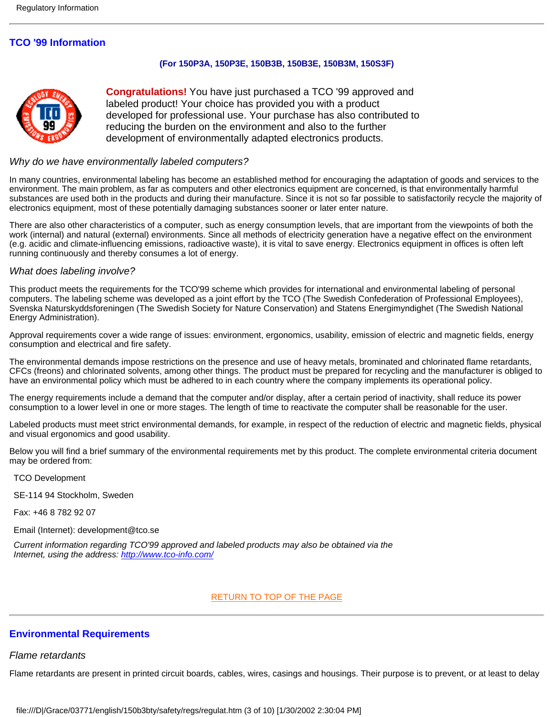## **TCO '99 Information**

#### **(For 150P3A, 150P3E, 150B3B, 150B3E, 150B3M, 150S3F)**



**Congratulations!** You have just purchased a TCO '99 approved and labeled product! Your choice has provided you with a product developed for professional use. Your purchase has also contributed to reducing the burden on the environment and also to the further development of environmentally adapted electronics products.

#### *Why do we have environmentally labeled computers?*

In many countries, environmental labeling has become an established method for encouraging the adaptation of goods and services to the environment. The main problem, as far as computers and other electronics equipment are concerned, is that environmentally harmful substances are used both in the products and during their manufacture. Since it is not so far possible to satisfactorily recycle the majority of electronics equipment, most of these potentially damaging substances sooner or later enter nature.

There are also other characteristics of a computer, such as energy consumption levels, that are important from the viewpoints of both the work (internal) and natural (external) environments. Since all methods of electricity generation have a negative effect on the environment (e.g. acidic and climate-influencing emissions, radioactive waste), it is vital to save energy. Electronics equipment in offices is often left running continuously and thereby consumes a lot of energy.

#### *What does labeling involve?*

This product meets the requirements for the TCO'99 scheme which provides for international and environmental labeling of personal computers. The labeling scheme was developed as a joint effort by the TCO (The Swedish Confederation of Professional Employees), Svenska Naturskyddsforeningen (The Swedish Society for Nature Conservation) and Statens Energimyndighet (The Swedish National Energy Administration).

Approval requirements cover a wide range of issues: environment, ergonomics, usability, emission of electric and magnetic fields, energy consumption and electrical and fire safety.

The environmental demands impose restrictions on the presence and use of heavy metals, brominated and chlorinated flame retardants, CFCs (freons) and chlorinated solvents, among other things. The product must be prepared for recycling and the manufacturer is obliged to have an environmental policy which must be adhered to in each country where the company implements its operational policy.

The energy requirements include a demand that the computer and/or display, after a certain period of inactivity, shall reduce its power consumption to a lower level in one or more stages. The length of time to reactivate the computer shall be reasonable for the user.

Labeled products must meet strict environmental demands, for example, in respect of the reduction of electric and magnetic fields, physical and visual ergonomics and good usability.

Below you will find a brief summary of the environmental requirements met by this product. The complete environmental criteria document may be ordered from:

TCO Development

SE-114 94 Stockholm, Sweden

Fax: +46 8 782 92 07

Email (Internet): development@tco.se

*Current information regarding TCO'99 approved and labeled products may also be obtained via the Internet, using the address: <http://www.tco-info.com/>*

#### [RETURN TO TOP OF THE PAGE](#page-35-0)

### **Environmental Requirements**

#### *Flame retardants*

Flame retardants are present in printed circuit boards, cables, wires, casings and housings. Their purpose is to prevent, or at least to delay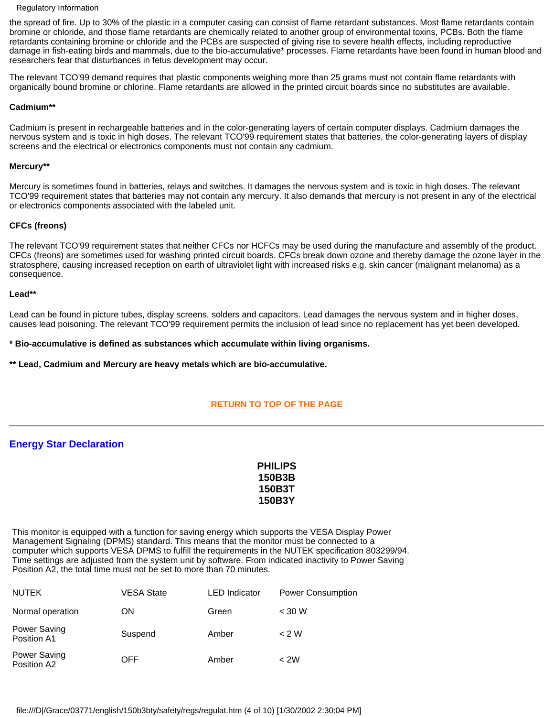the spread of fire. Up to 30% of the plastic in a computer casing can consist of flame retardant substances. Most flame retardants contain bromine or chloride, and those flame retardants are chemically related to another group of environmental toxins, PCBs. Both the flame retardants containing bromine or chloride and the PCBs are suspected of giving rise to severe health effects, including reproductive damage in fish-eating birds and mammals, due to the bio-accumulative\* processes. Flame retardants have been found in human blood and researchers fear that disturbances in fetus development may occur.

The relevant TCO'99 demand requires that plastic components weighing more than 25 grams must not contain flame retardants with organically bound bromine or chlorine. Flame retardants are allowed in the printed circuit boards since no substitutes are available.

#### **Cadmium\*\***

Cadmium is present in rechargeable batteries and in the color-generating layers of certain computer displays. Cadmium damages the nervous system and is toxic in high doses. The relevant TCO'99 requirement states that batteries, the color-generating layers of display screens and the electrical or electronics components must not contain any cadmium.

#### **Mercury\*\***

Mercury is sometimes found in batteries, relays and switches. It damages the nervous system and is toxic in high doses. The relevant TCO'99 requirement states that batteries may not contain any mercury. It also demands that mercury is not present in any of the electrical or electronics components associated with the labeled unit.

#### **CFCs (freons)**

The relevant TCO'99 requirement states that neither CFCs nor HCFCs may be used during the manufacture and assembly of the product. CFCs (freons) are sometimes used for washing printed circuit boards. CFCs break down ozone and thereby damage the ozone layer in the stratosphere, causing increased reception on earth of ultraviolet light with increased risks e.g. skin cancer (malignant melanoma) as a consequence.

#### **Lead\*\***

Lead can be found in picture tubes, display screens, solders and capacitors. Lead damages the nervous system and in higher doses, causes lead poisoning. The relevant TCO'99 requirement permits the inclusion of lead since no replacement has yet been developed.

#### **\* Bio-accumulative is defined as substances which accumulate within living organisms.**

**\*\* Lead, Cadmium and Mercury are heavy metals which are bio-accumulative.**

### **[RETURN TO TOP OF THE PAGE](#page-35-0)**

## **Energy Star Declaration**

### **PHILIPS 150B3B 150B3T 150B3Y**

This monitor is equipped with a function for saving energy which supports the VESA Display Power Management Signaling (DPMS) standard. This means that the monitor must be connected to a computer which supports VESA DPMS to fulfill the requirements in the NUTEK specification 803299/94. Time settings are adjusted from the system unit by software. From indicated inactivity to Power Saving Position A2, the total time must not be set to more than 70 minutes.

| <b>NUTEK</b>                       | VESA State | <b>LED</b> Indicator | <b>Power Consumption</b> |
|------------------------------------|------------|----------------------|--------------------------|
| Normal operation                   | ON         | Green                | $<$ 30 W                 |
| Power Saving<br>Position A1        | Suspend    | Amber                | < 2 W                    |
| <b>Power Saving</b><br>Position A2 | OFF        | Amber                | < 2W                     |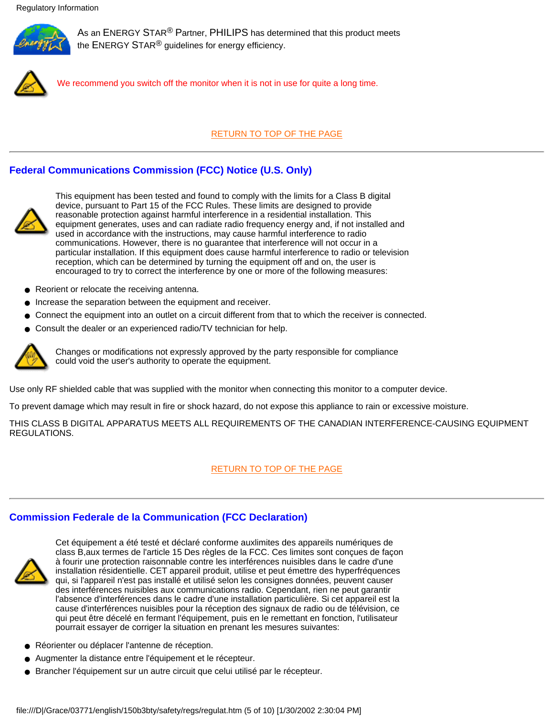

As an ENERGY STAR<sup>®</sup> Partner, PHILIPS has determined that this product meets the ENERGY STAR<sup>®</sup> guidelines for energy efficiency.

We recommend you switch off the monitor when it is not in use for quite a long time.

[RETURN TO TOP OF THE PAGE](#page-35-0)

## **Federal Communications Commission (FCC) Notice (U.S. Only)**



This equipment has been tested and found to comply with the limits for a Class B digital device, pursuant to Part 15 of the FCC Rules. These limits are designed to provide reasonable protection against harmful interference in a residential installation. This equipment generates, uses and can radiate radio frequency energy and, if not installed and used in accordance with the instructions, may cause harmful interference to radio communications. However, there is no guarantee that interference will not occur in a particular installation. If this equipment does cause harmful interference to radio or television reception, which can be determined by turning the equipment off and on, the user is encouraged to try to correct the interference by one or more of the following measures:

- Reorient or relocate the receiving antenna.
- Increase the separation between the equipment and receiver.
- Connect the equipment into an outlet on a circuit different from that to which the receiver is connected.
- Consult the dealer or an experienced radio/TV technician for help.



Changes or modifications not expressly approved by the party responsible for compliance could void the user's authority to operate the equipment.

Use only RF shielded cable that was supplied with the monitor when connecting this monitor to a computer device.

To prevent damage which may result in fire or shock hazard, do not expose this appliance to rain or excessive moisture.

THIS CLASS B DIGITAL APPARATUS MEETS ALL REQUIREMENTS OF THE CANADIAN INTERFERENCE-CAUSING EQUIPMENT REGULATIONS.

[RETURN TO TOP OF THE PAGE](#page-35-0)

## **Commission Federale de la Communication (FCC Declaration)**



Cet équipement a été testé et déclaré conforme auxlimites des appareils numériques de class B,aux termes de l'article 15 Des règles de la FCC. Ces limites sont conçues de façon à fourir une protection raisonnable contre les interférences nuisibles dans le cadre d'une installation résidentielle. CET appareil produit, utilise et peut émettre des hyperfréquences qui, si l'appareil n'est pas installé et utilisé selon les consignes données, peuvent causer des interférences nuisibles aux communications radio. Cependant, rien ne peut garantir l'absence d'interférences dans le cadre d'une installation particulière. Si cet appareil est la cause d'interférences nuisibles pour la réception des signaux de radio ou de télévision, ce qui peut être décelé en fermant l'équipement, puis en le remettant en fonction, l'utilisateur pourrait essayer de corriger la situation en prenant les mesures suivantes:

- Réorienter ou déplacer l'antenne de réception.
- Augmenter la distance entre l'équipement et le récepteur.
- Brancher l'équipement sur un autre circuit que celui utilisé par le récepteur.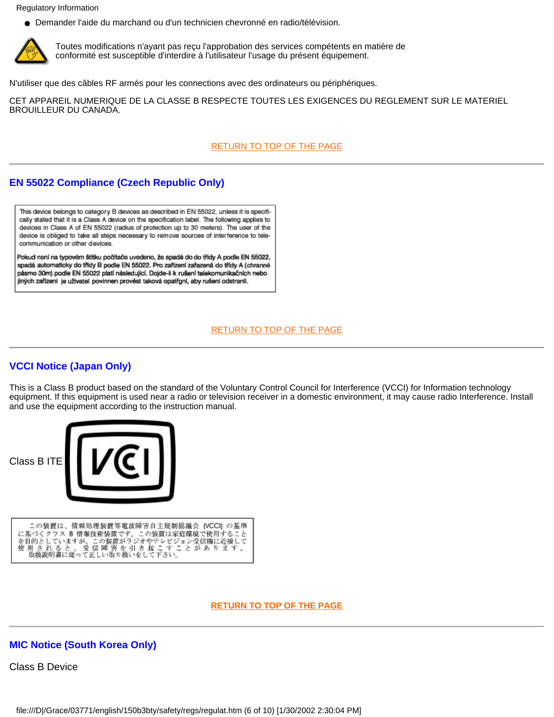● Demander l'aide du marchand ou d'un technicien chevronné en radio/télévision.



Toutes modifications n'ayant pas reçu l'approbation des services compétents en matière de conformité est susceptible d'interdire à l'utilisateur l'usage du présent équipement.

N'utiliser que des câbles RF armés pour les connections avec des ordinateurs ou périphériques.

CET APPAREIL NUMERIQUE DE LA CLASSE B RESPECTE TOUTES LES EXIGENCES DU REGLEMENT SUR LE MATERIEL BROUILLEUR DU CANADA.

[RETURN TO TOP OF THE PAGE](#page-35-0)

## **EN 55022 Compliance (Czech Republic Only)**

This device belongs to category B devices as described in EN 55022, unless it is specifically stated that it is a Class A device on the specification label. The following applies to devices in Class A of EN 55022 (radius of protection up to 30 meters). The user of the device is obliged to take all steps necessary to remove sources of interference to telecommunication or other devices.

Pokud není na typovém štítku počítače uvedeno, že spadá do do třídy A podle EN 55022, spadá automaticky do třídy B podle EN 55022. Pro zařízení zařazená do třídy A (chranné pásmo 30m) podle EN 55022 platí následující. Dojde-li k rušení telekomunikačních nebo jiných zařízení je uživatel povinnen provést taková opatřgní, aby rušení odstranil.

#### [RETURN TO TOP OF THE PAGE](#page-35-0)

## **VCCI Notice (Japan Only)**

This is a Class B product based on the standard of the Voluntary Control Council for Interference (VCCI) for Information technology equipment. If this equipment is used near a radio or television receiver in a domestic environment, it may cause radio Interference. Install and use the equipment according to the instruction manual.



# この装置は、情報処理装置等電波障害自主規制協議会 [VCCI] の基準 **この姿には、旧野の建会費をする際においる意は家庭環境で使用することを目的としていますが、この装置がラジオやテレビジョン受信機に近後してきます。その時に、この装置は家庭環境で使用することを目的としています。**<br>その他の人々にする、この装置がラジオやテレビジョン受信機に近接して<br>使用されると、受信障害を引き起こすことがあります。<br>取扱説明書に従って正しい取り扱いをして下さい。

#### **[RETURN TO TOP OF THE PAGE](#page-35-0)**

## **MIC Notice (South Korea Only)**

Class B Device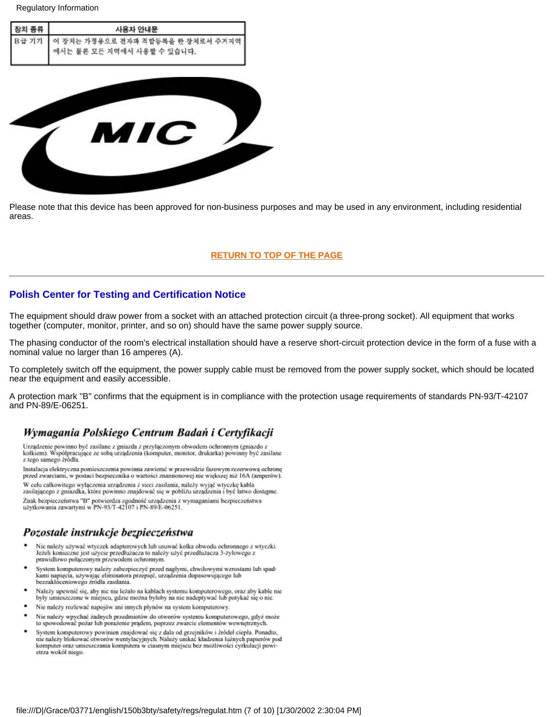| 장치 종류 ┃ | 사용자 안내문                                                               |
|---------|-----------------------------------------------------------------------|
|         | B급 기기 이 장치는 가정용으로 전자파 적합등록을 한 장치로서 주거지역<br>에서는 물론 모든 지역에서 사용할 수 있습니다. |



Please note that this device has been approved for non-business purposes and may be used in any environment, including residential areas.

#### **[RETURN TO TOP OF THE PAGE](#page-35-0)**

### **Polish Center for Testing and Certification Notice**

The equipment should draw power from a socket with an attached protection circuit (a three-prong socket). All equipment that works together (computer, monitor, printer, and so on) should have the same power supply source.

The phasing conductor of the room's electrical installation should have a reserve short-circuit protection device in the form of a fuse with a nominal value no larger than 16 amperes (A).

To completely switch off the equipment, the power supply cable must be removed from the power supply socket, which should be located near the equipment and easily accessible.

A protection mark "B" confirms that the equipment is in compliance with the protection usage requirements of standards PN-93/T-42107 and PN-89/E-06251.

## Wymagania Polskiego Centrum Badań i Certyfikacji

Urządzenie powinno być zasilane z gniazda z przyłączonym obwodem ochronnym (gniazdo z kołkiem). Współpracujące ze sobą urządzenia (komputer, monitor, drukarka) powinny być zasilane z tego sámego zródła.

Instalacja elektryczna pomieszczenia powinna zawierać w przewodzie fazowym rezerwową ochronę przed zwarciami, w postaci bezpiecznika o wartości znamionowej nie większej niż 16A (amperów). W celu całkowitego wyłączenia urządzenia z sieci zasilania, należy wyjąć wtyczkę kabla

zasilającego z gniazdka, które powinno znajdować się w pobliżu urządzenia i być łatwo dostępne. Znak bezpieczeństwa "B" potwierdza zgodność urządzenia z wymaganiami bezpieczeństwa użytkowania zawartymi w PN-93/T-42107 i PN-89/E-06251.

## Pozostałe instrukcje bezpieczeństwa

- Nie należy używać wtyczek adapterowych lub usuwać kołka obwodu ochronnego z wtyczki. Jeżeli konieczne jest użycie przedłużacza to należy użyć przedłużacza 3-żyłowego z prawidłowo połączonym przewodem ochronnym.
- System komputerowy należy zabezpieczyć przed nagłymi, chwilowymi wzrostami lub spadkami napięcia, używając eliminatora przepięć, urządzenia dopasowującego lub bezzakłóceniowego źródła zasilania.
- Należy upewnić się, aby nic nie leżało na kablach systemu komputerowego, oraz aby kable nie były umieszczone w miejscu, gdzie można byłoby na nie nadeptywać lub potykać się o nie.
- Nie należy rozlewać napojów ani innych płynów na system komputerowy.
- Nie należy wpychać żadnych przedmiotów do otworów systemu komputerowego, gdyż może to spowodować pożar lub porażenie prądem, poprzez zwarcie elementów wewnętrznych.
- System komputerowy powinien znajdować się z dala od grzejników i źródeł ciepła. Ponadto, nie należy blokować otworów wentylacyjnych. Należy unikać kładzenia lużnych papierów pod komputer oraz umieszczania komputera w ciasnym miejscu bez możliwości cyrkulacji powietrza wokół niego.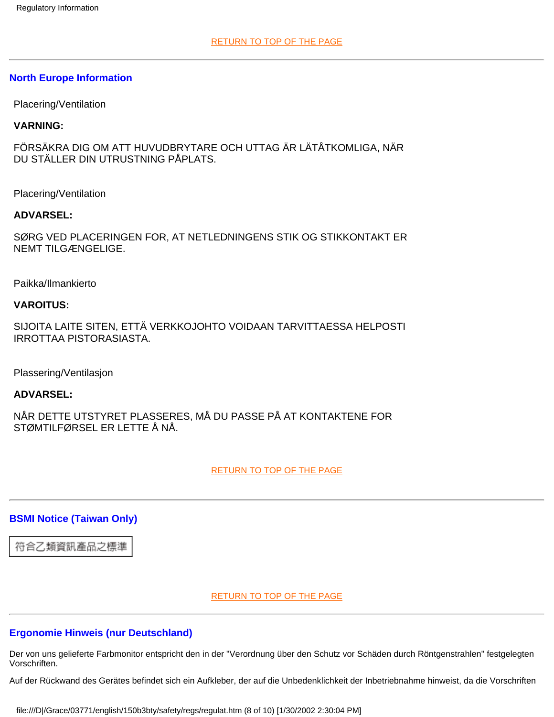## **North Europe Information**

Placering/Ventilation

### **VARNING:**

FÖRSÄKRA DIG OM ATT HUVUDBRYTARE OCH UTTAG ÄR LÄTÅTKOMLIGA, NÄR DU STÄLLER DIN UTRUSTNING PÅPLATS.

Placering/Ventilation

### **ADVARSEL:**

SØRG VED PLACERINGEN FOR, AT NETLEDNINGENS STIK OG STIKKONTAKT ER NEMT TILGÆNGELIGE.

Paikka/Ilmankierto

### **VAROITUS:**

SIJOITA LAITE SITEN, ETTÄ VERKKOJOHTO VOIDAAN TARVITTAESSA HELPOSTI IRROTTAA PISTORASIASTA.

Plassering/Ventilasjon

### **ADVARSEL:**

NÅR DETTE UTSTYRET PLASSERES, MÅ DU PASSE PÅ AT KONTAKTENE FOR STØMTILFØRSEL ER LETTE Å NÅ.

[RETURN TO TOP OF THE PAGE](#page-35-0)

## **BSMI Notice (Taiwan Only)**

符合乙類資訊產品之標準

#### [RETURN TO TOP OF THE PAGE](#page-35-0)

### **Ergonomie Hinweis (nur Deutschland)**

Der von uns gelieferte Farbmonitor entspricht den in der "Verordnung über den Schutz vor Schäden durch Röntgenstrahlen" festgelegten Vorschriften.

Auf der Rückwand des Gerätes befindet sich ein Aufkleber, der auf die Unbedenklichkeit der Inbetriebnahme hinweist, da die Vorschriften

file:///D|/Grace/03771/english/150b3bty/safety/regs/regulat.htm (8 of 10) [1/30/2002 2:30:04 PM]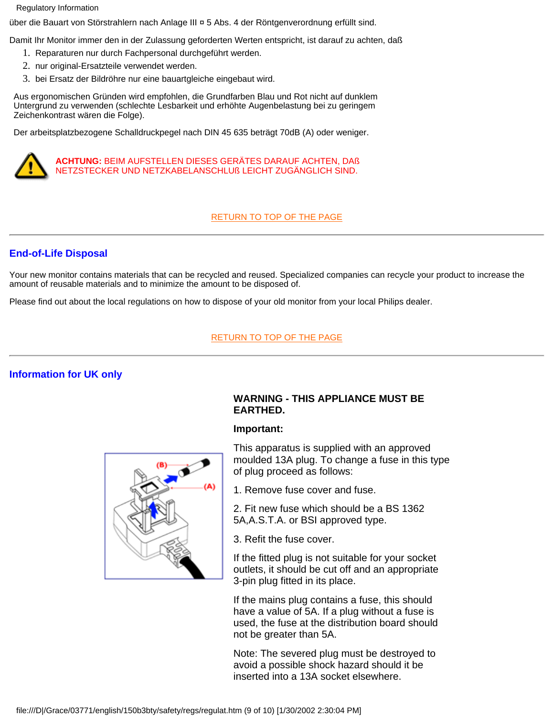über die Bauart von Störstrahlern nach Anlage III ¤ 5 Abs. 4 der Röntgenverordnung erfüllt sind.

Damit Ihr Monitor immer den in der Zulassung geforderten Werten entspricht, ist darauf zu achten, daß

- 1. Reparaturen nur durch Fachpersonal durchgeführt werden.
- 2. nur original-Ersatzteile verwendet werden.
- 3. bei Ersatz der Bildröhre nur eine bauartgleiche eingebaut wird.

Aus ergonomischen Gründen wird empfohlen, die Grundfarben Blau und Rot nicht auf dunklem Untergrund zu verwenden (schlechte Lesbarkeit und erhöhte Augenbelastung bei zu geringem Zeichenkontrast wären die Folge).

Der arbeitsplatzbezogene Schalldruckpegel nach DIN 45 635 beträgt 70dB (A) oder weniger.



**ACHTUNG:** BEIM AUFSTELLEN DIESES GERÄTES DARAUF ACHTEN, DAß NETZSTECKER UND NETZKABELANSCHLUß LEICHT ZUGÄNGLICH SIND.

#### [RETURN TO TOP OF THE PAGE](#page-35-0)

## **End-of-Life Disposal**

Your new monitor contains materials that can be recycled and reused. Specialized companies can recycle your product to increase the amount of reusable materials and to minimize the amount to be disposed of.

Please find out about the local regulations on how to dispose of your old monitor from your local Philips dealer.

### [RETURN TO TOP OF THE PAGE](#page-35-0)

## **Information for UK only**



## **WARNING - THIS APPLIANCE MUST BE EARTHED.**

#### **Important:**

This apparatus is supplied with an approved moulded 13A plug. To change a fuse in this type of plug proceed as follows:

1. Remove fuse cover and fuse.

2. Fit new fuse which should be a BS 1362 5A,A.S.T.A. or BSI approved type.

3. Refit the fuse cover.

If the fitted plug is not suitable for your socket outlets, it should be cut off and an appropriate 3-pin plug fitted in its place.

If the mains plug contains a fuse, this should have a value of 5A. If a plug without a fuse is used, the fuse at the distribution board should not be greater than 5A.

Note: The severed plug must be destroyed to avoid a possible shock hazard should it be inserted into a 13A socket elsewhere.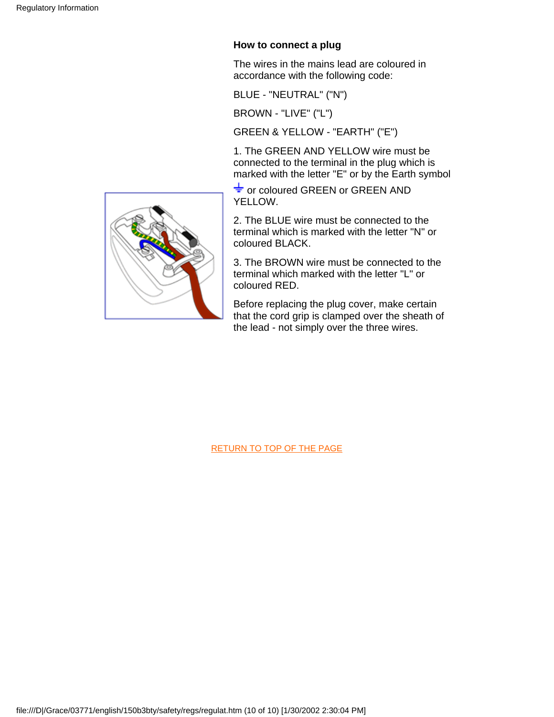## **How to connect a plug**

The wires in the mains lead are coloured in accordance with the following code:

BLUE - "NEUTRAL" ("N")

BROWN - "LIVE" ("L")

GREEN & YELLOW - "EARTH" ("E")

1. The GREEN AND YELLOW wire must be connected to the terminal in the plug which is marked with the letter "E" or by the Earth symbol

 $\frac{1}{\sqrt{2}}$  or coloured GREEN or GREEN AND YELLOW.

2. The BLUE wire must be connected to the terminal which is marked with the letter "N" or coloured BLACK.

3. The BROWN wire must be connected to the terminal which marked with the letter "L" or coloured RED.

Before replacing the plug cover, make certain that the cord grip is clamped over the sheath of the lead - not simply over the three wires.

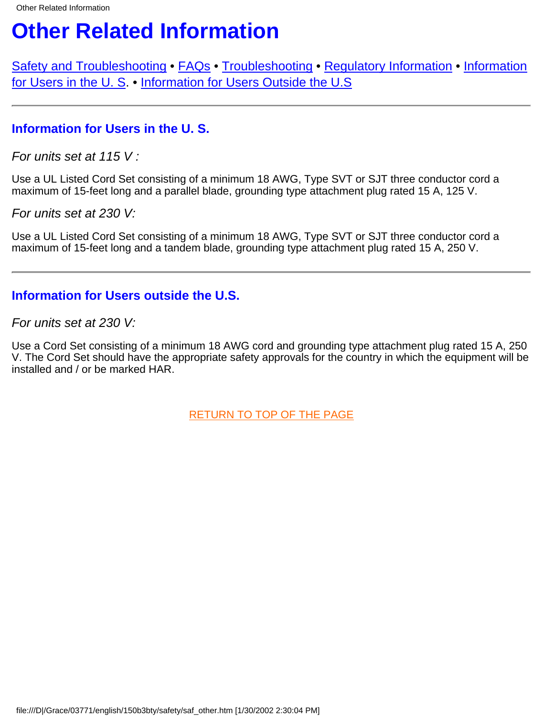# <span id="page-45-2"></span>**Other Related Information**

[Safety and Troubleshooting](#page-1-0) • [FAQs](#page-24-0) • [Troubleshooting](#page-32-0) • [Regulatory Information](#page-35-1) • [Information](#page-45-0) [for Users in the U. S](#page-45-0). • [Information for Users Outside the U.S](#page-45-1).

## <span id="page-45-0"></span>**Information for Users in the U. S.**

*For units set at 115 V :*

Use a UL Listed Cord Set consisting of a minimum 18 AWG, Type SVT or SJT three conductor cord a maximum of 15-feet long and a parallel blade, grounding type attachment plug rated 15 A, 125 V.

*For units set at 230 V:*

Use a UL Listed Cord Set consisting of a minimum 18 AWG, Type SVT or SJT three conductor cord a maximum of 15-feet long and a tandem blade, grounding type attachment plug rated 15 A, 250 V.

## <span id="page-45-1"></span>**Information for Users outside the U.S.**

*For units set at 230 V:*

Use a Cord Set consisting of a minimum 18 AWG cord and grounding type attachment plug rated 15 A, 250 V. The Cord Set should have the appropriate safety approvals for the country in which the equipment will be installed and / or be marked HAR.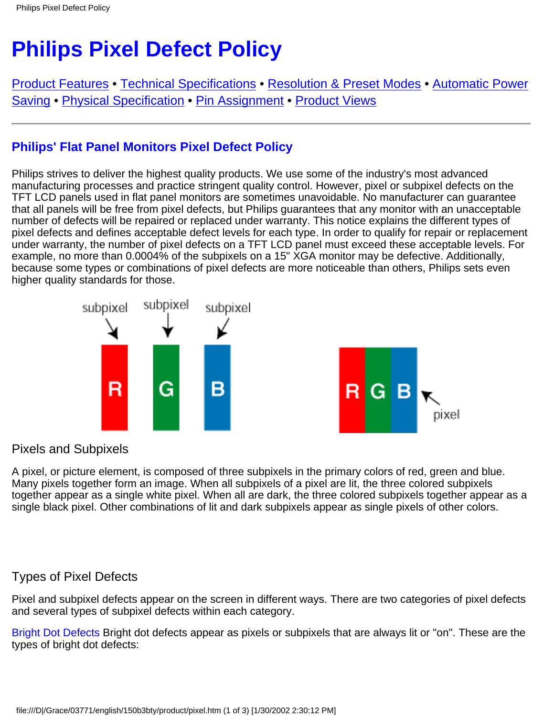# **Philips Pixel Defect Policy**

[Product Features](#page-5-0) • [Technical Specifications](#page-5-1) • [Resolution & Preset Modes](#page-6-0) • [Automatic Power](#page-7-0) [Saving](#page-7-0) • [Physical Specification](#page-8-0) • [Pin Assignment](#page-8-1) • [Product Views](#page-9-0)

## **Philips' Flat Panel Monitors Pixel Defect Policy**

Philips strives to deliver the highest quality products. We use some of the industry's most advanced manufacturing processes and practice stringent quality control. However, pixel or subpixel defects on the TFT LCD panels used in flat panel monitors are sometimes unavoidable. No manufacturer can guarantee that all panels will be free from pixel defects, but Philips guarantees that any monitor with an unacceptable number of defects will be repaired or replaced under warranty. This notice explains the different types of pixel defects and defines acceptable defect levels for each type. In order to qualify for repair or replacement under warranty, the number of pixel defects on a TFT LCD panel must exceed these acceptable levels. For example, no more than 0.0004% of the subpixels on a 15" XGA monitor may be defective. Additionally, because some types or combinations of pixel defects are more noticeable than others, Philips sets even higher quality standards for those.



## Pixels and Subpixels

A pixel, or picture element, is composed of three subpixels in the primary colors of red, green and blue. Many pixels together form an image. When all subpixels of a pixel are lit, the three colored subpixels together appear as a single white pixel. When all are dark, the three colored subpixels together appear as a single black pixel. Other combinations of lit and dark subpixels appear as single pixels of other colors.

## Types of Pixel Defects

Pixel and subpixel defects appear on the screen in different ways. There are two categories of pixel defects and several types of subpixel defects within each category.

Bright Dot Defects Bright dot defects appear as pixels or subpixels that are always lit or "on". These are the types of bright dot defects: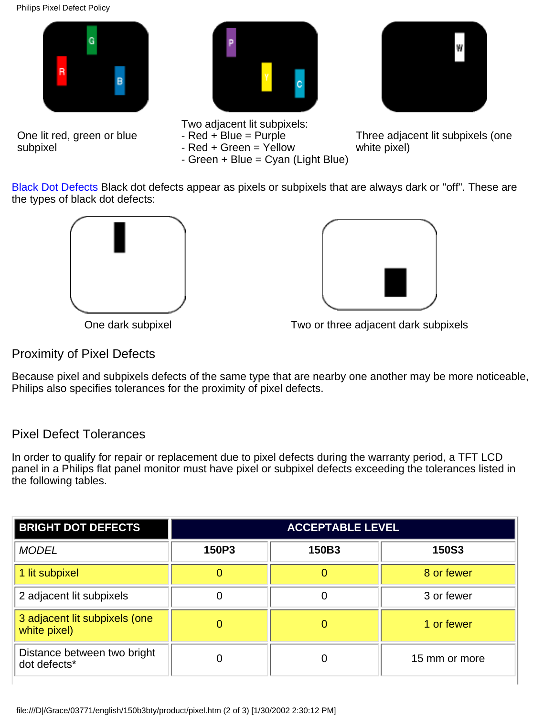Philips Pixel Defect Policy



One lit red, green or blue subpixel



Two adjacent lit subpixels:

- Red + Blue = Purple
- Red + Green = Yellow
- Green + Blue = Cyan (Light Blue)



Three adjacent lit subpixels (one white pixel)

Black Dot Defects Black dot defects appear as pixels or subpixels that are always dark or "off". These are the types of black dot defects:



One dark subpixel **Two or three adjacent dark subpixels** 

## Proximity of Pixel Defects

Because pixel and subpixels defects of the same type that are nearby one another may be more noticeable, Philips also specifies tolerances for the proximity of pixel defects.

## Pixel Defect Tolerances

In order to qualify for repair or replacement due to pixel defects during the warranty period, a TFT LCD panel in a Philips flat panel monitor must have pixel or subpixel defects exceeding the tolerances listed in the following tables.

| <b>BRIGHT DOT DEFECTS</b>                     | <b>ACCEPTABLE LEVEL</b> |       |               |  |
|-----------------------------------------------|-------------------------|-------|---------------|--|
| <b>MODEL</b>                                  | 150P3                   | 150B3 | <b>150S3</b>  |  |
| 1 lit subpixel                                | 0                       | 0     | 8 or fewer    |  |
| 2 adjacent lit subpixels                      |                         | Ü     | 3 or fewer    |  |
| 3 adjacent lit subpixels (one<br>white pixel) | 0                       |       | 1 or fewer    |  |
| Distance between two bright<br>dot defects*   | 0                       | O     | 15 mm or more |  |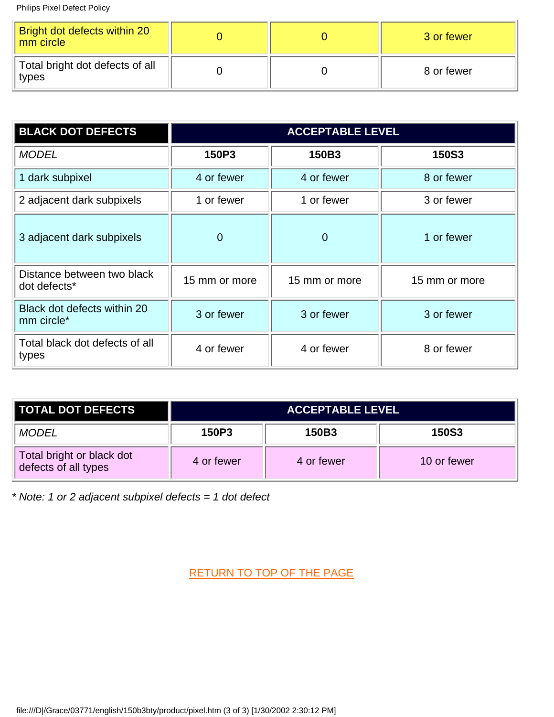Philips Pixel Defect Policy

| <b>Bright dot defects within 20</b><br>mm circle |  | 3 or fewer |
|--------------------------------------------------|--|------------|
| Total bright dot defects of all<br>types         |  | 8 or fewer |

| <b>BLACK DOT DEFECTS</b>                   | <b>ACCEPTABLE LEVEL</b> |               |               |  |
|--------------------------------------------|-------------------------|---------------|---------------|--|
| <b>MODEL</b>                               | 150P3                   | 150B3         | <b>150S3</b>  |  |
| 1 dark subpixel                            | 4 or fewer              | 4 or fewer    | 8 or fewer    |  |
| 2 adjacent dark subpixels                  | 1 or fewer              | 1 or fewer    | 3 or fewer    |  |
| 3 adjacent dark subpixels                  | $\overline{0}$          | 0             | 1 or fewer    |  |
| Distance between two black<br>dot defects* | 15 mm or more           | 15 mm or more | 15 mm or more |  |
| Black dot defects within 20<br>mm circle*  | 3 or fewer              | 3 or fewer    | 3 or fewer    |  |
| Total black dot defects of all<br>types    | 4 or fewer              | 4 or fewer    | 8 or fewer    |  |

| <b>TOTAL DOT DEFECTS</b>                          | <b>ACCEPTABLE LEVEL</b> |            |              |  |
|---------------------------------------------------|-------------------------|------------|--------------|--|
| <b>MODEL</b>                                      | 150P3                   | 150B3      | <b>150S3</b> |  |
| Total bright or black dot<br>defects of all types | 4 or fewer              | 4 or fewer | 10 or fewer  |  |

*\* Note: 1 or 2 adjacent subpixel defects = 1 dot defect*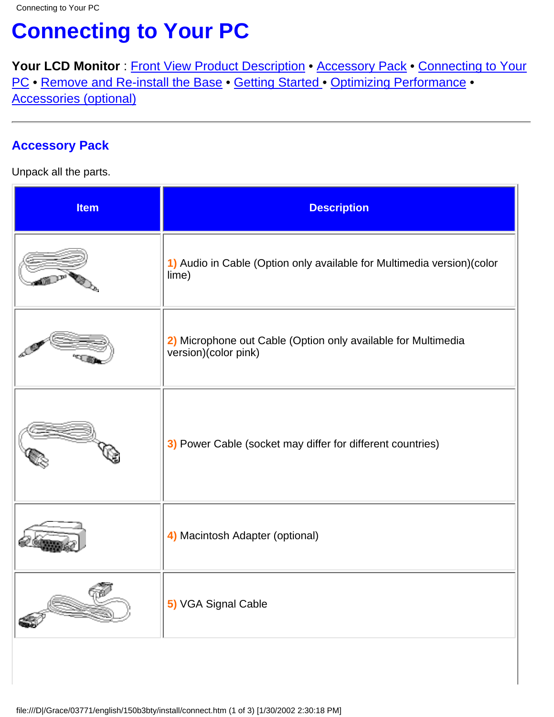# <span id="page-49-1"></span>**Connecting to Your PC**

Your LCD Monitor : **Front View Product Description • [Accessory Pack](#page-49-0) • [Connecting to Your](#page-50-0)** [PC](#page-50-0) • [Remove and Re-install the Base](#page-52-0) • [Getting Started](#page-56-0) • [Optimizing Performance](#page-12-0) • [Accessories \(optional\)](#page-59-0)

## <span id="page-49-0"></span>**Accessory Pack**

Unpack all the parts.

| <b>Item</b> | <b>Description</b>                                                                    |
|-------------|---------------------------------------------------------------------------------------|
|             | 1) Audio in Cable (Option only available for Multimedia version) (color<br>lime)      |
|             | 2) Microphone out Cable (Option only available for Multimedia<br>version)(color pink) |
|             | 3) Power Cable (socket may differ for different countries)                            |
|             | 4) Macintosh Adapter (optional)                                                       |
|             | 5) VGA Signal Cable                                                                   |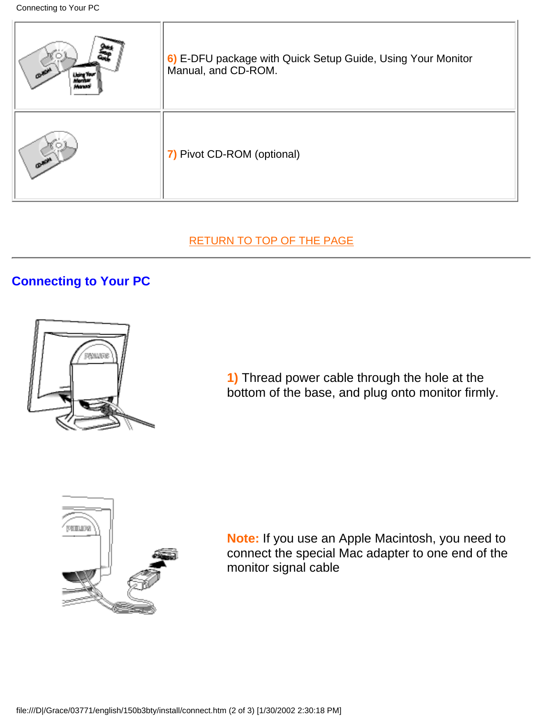| Light TP | 6) E-DFU package with Quick Setup Guide, Using Your Monitor<br>Manual, and CD-ROM. |
|----------|------------------------------------------------------------------------------------|
|          | 7) Pivot CD-ROM (optional)                                                         |

## [RETURN TO TOP OF THE PAGE](#page-49-1)

# <span id="page-50-0"></span>**Connecting to Your PC**



**1)** Thread power cable through the hole at the bottom of the base, and plug onto monitor firmly.



**Note:** If you use an Apple Macintosh, you need to connect the special Mac adapter to one end of the monitor signal cable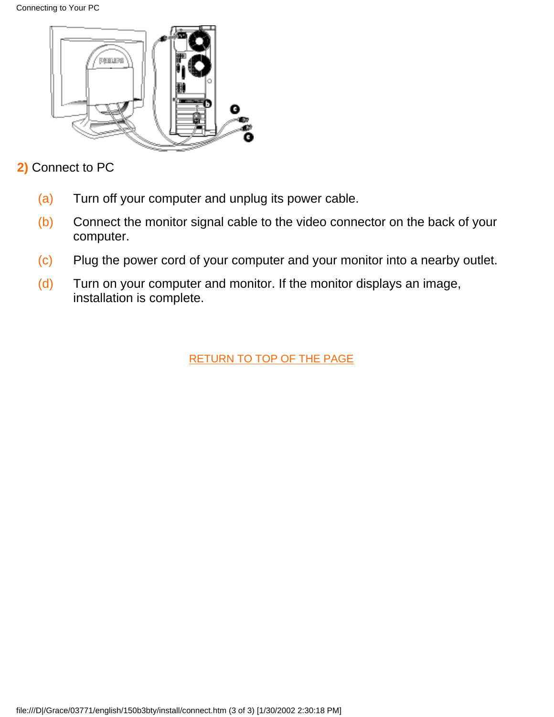#### Connecting to Your PC



## **2)** Connect to PC

- (a) Turn off your computer and unplug its power cable.
- (b) Connect the monitor signal cable to the video connector on the back of your computer.
- (c) Plug the power cord of your computer and your monitor into a nearby outlet.
- (d) Turn on your computer and monitor. If the monitor displays an image, installation is complete.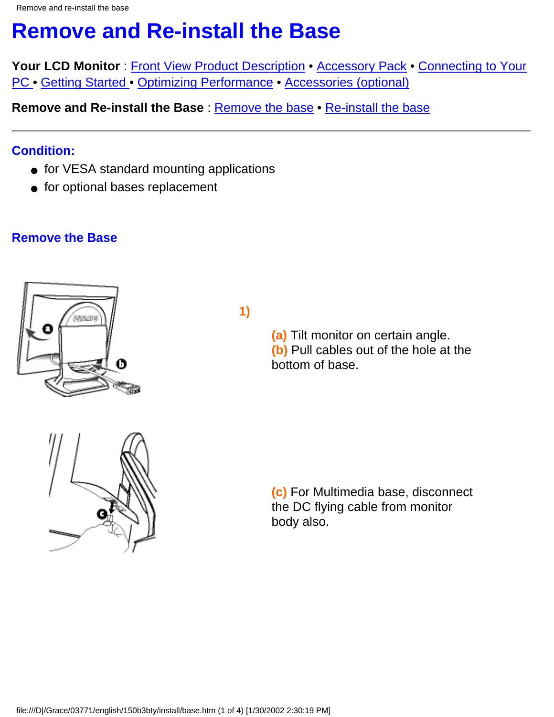# <span id="page-52-0"></span>**Remove and Re-install the Base**

Your LCD Monitor : [Front View Product Description](#page-11-0) • [Accessory Pack](#page-49-0) • [Connecting to Your](#page-50-0) [PC](#page-50-0) • [Getting Started](#page-56-0) • [Optimizing Performance](#page-12-0) • [Accessories \(optional\)](#page-59-0)

**Remove and Re-install the Base** : [Remove the base](#page-52-0) • [Re-install the base](#page-52-0)

## **Condition:**

- for VESA standard mounting applications
- for optional bases replacement

## **Remove the Base**



**1)**

**(a)** Tilt monitor on certain angle. **(b)** Pull cables out of the hole at the bottom of base.



**(c)** For Multimedia base, disconnect the DC flying cable from monitor body also.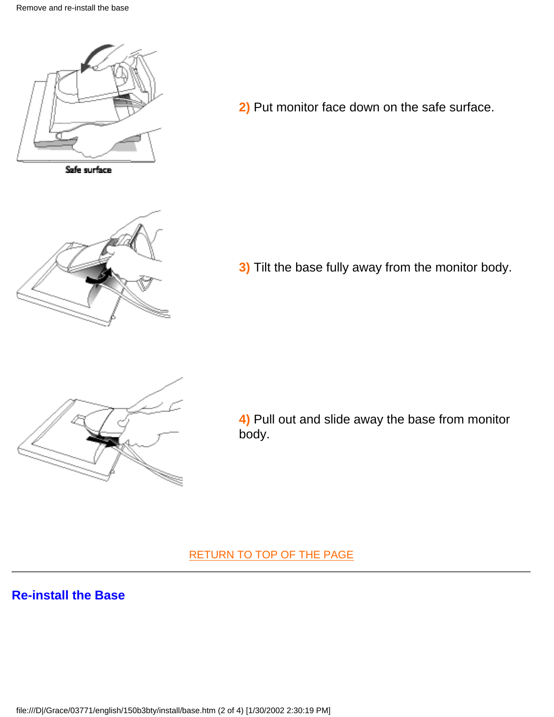

Safe surface



**2)** Put monitor face down on the safe surface.

**3)** Tilt the base fully away from the monitor body.



**4)** Pull out and slide away the base from monitor body.

[RETURN TO TOP OF THE PAGE](#page-52-0)

# **Re-install the Base**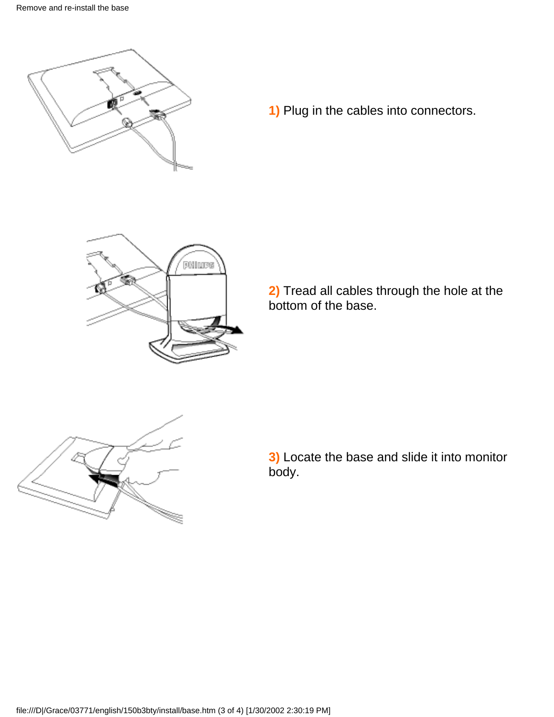

**1)** Plug in the cables into connectors.



**2)** Tread all cables through the hole at the bottom of the base.



**3)** Locate the base and slide it into monitor body.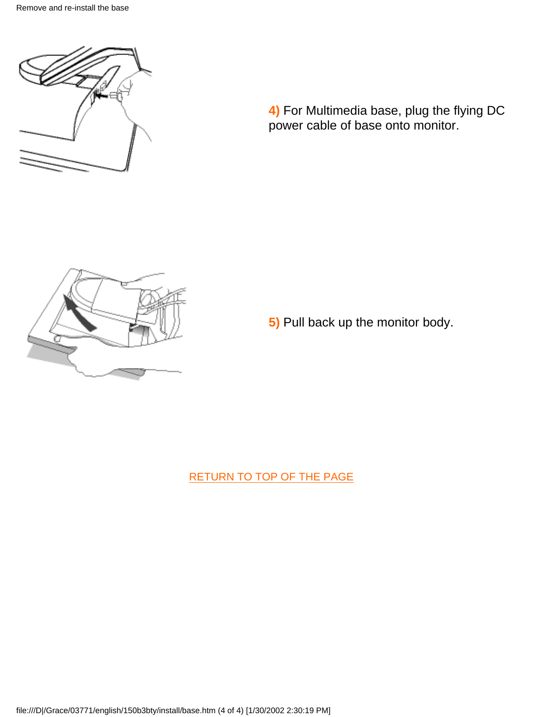Remove and re-install the base



**4)** For Multimedia base, plug the flying DC power cable of base onto monitor.



**5)** Pull back up the monitor body.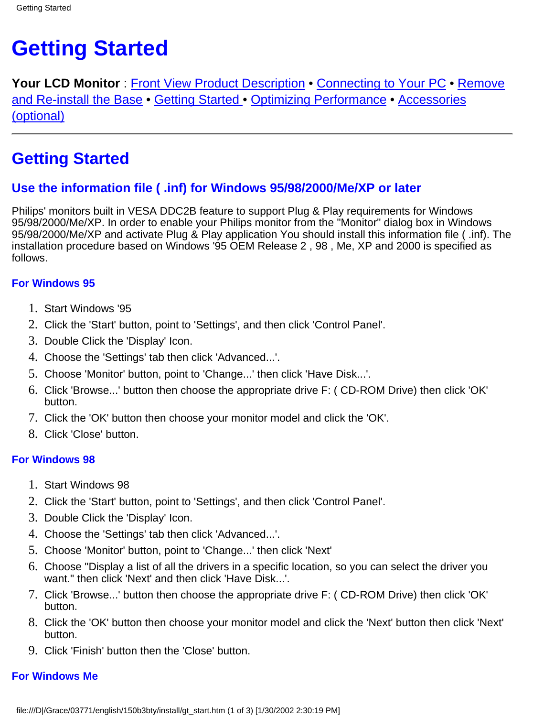# <span id="page-56-2"></span><span id="page-56-0"></span>**Getting Started**

**Your LCD Monitor** : [Front View Product Description](#page-11-0) • [Connecting to Your PC](#page-50-0) • [Remove](#page-52-0) [and Re-install the Base](#page-52-0) • [Getting Started](#page-56-1) • [Optimizing Performance](#page-12-0) • [Accessories](#page-59-0) [\(optional\)](#page-59-0)

# <span id="page-56-1"></span>**Getting Started**

## **Use the information file ( .inf) for Windows 95/98/2000/Me/XP or later**

Philips' monitors built in VESA DDC2B feature to support Plug & Play requirements for Windows 95/98/2000/Me/XP. In order to enable your Philips monitor from the "Monitor" dialog box in Windows 95/98/2000/Me/XP and activate Plug & Play application You should install this information file ( .inf). The installation procedure based on Windows '95 OEM Release 2 , 98 , Me, XP and 2000 is specified as follows.

## **For Windows 95**

- 1. Start Windows '95
- 2. Click the 'Start' button, point to 'Settings', and then click 'Control Panel'.
- 3. Double Click the 'Display' Icon.
- 4. Choose the 'Settings' tab then click 'Advanced...'.
- 5. Choose 'Monitor' button, point to 'Change...' then click 'Have Disk...'.
- 6. Click 'Browse...' button then choose the appropriate drive F: ( CD-ROM Drive) then click 'OK' button.
- 7. Click the 'OK' button then choose your monitor model and click the 'OK'.
- 8. Click 'Close' button.

## **For Windows 98**

- 1. Start Windows 98
- 2. Click the 'Start' button, point to 'Settings', and then click 'Control Panel'.
- 3. Double Click the 'Display' Icon.
- 4. Choose the 'Settings' tab then click 'Advanced...'.
- 5. Choose 'Monitor' button, point to 'Change...' then click 'Next'
- 6. Choose "Display a list of all the drivers in a specific location, so you can select the driver you want." then click 'Next' and then click 'Have Disk...'.
- 7. Click 'Browse...' button then choose the appropriate drive F: ( CD-ROM Drive) then click 'OK' button.
- Click the 'OK' button then choose your monitor model and click the 'Next' button then click 'Next' 8. button.
- 9. Click 'Finish' button then the 'Close' button.

## **For Windows Me**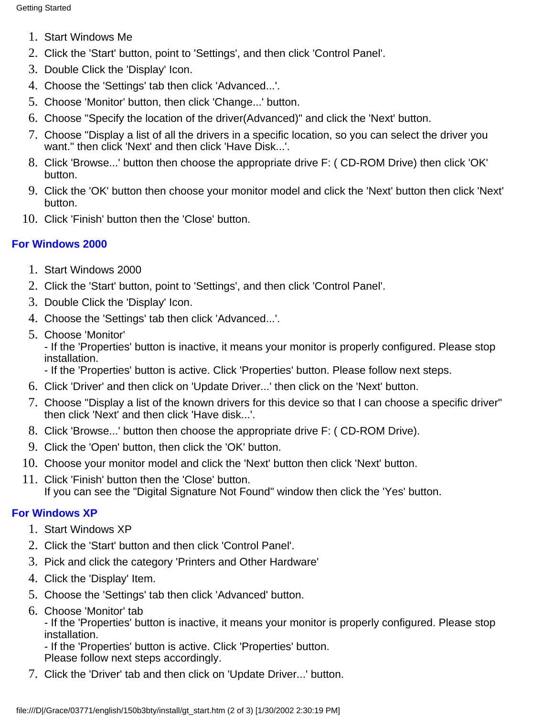- 1. Start Windows Me
- 2. Click the 'Start' button, point to 'Settings', and then click 'Control Panel'.
- 3. Double Click the 'Display' Icon.
- 4. Choose the 'Settings' tab then click 'Advanced...'.
- 5. Choose 'Monitor' button, then click 'Change...' button.
- 6. Choose "Specify the location of the driver(Advanced)" and click the 'Next' button.
- 7. Choose "Display a list of all the drivers in a specific location, so you can select the driver you want." then click 'Next' and then click 'Have Disk...'.
- Click 'Browse...' button then choose the appropriate drive F: ( CD-ROM Drive) then click 'OK' 8. button.
- Click the 'OK' button then choose your monitor model and click the 'Next' button then click 'Next' 9. button.
- 10. Click 'Finish' button then the 'Close' button.

## **For Windows 2000**

- 1. Start Windows 2000
- 2. Click the 'Start' button, point to 'Settings', and then click 'Control Panel'.
- 3. Double Click the 'Display' Icon.
- 4. Choose the 'Settings' tab then click 'Advanced...'.
- 5. Choose 'Monitor' - If the 'Properties' button is inactive, it means your monitor is properly configured. Please stop installation.
	- If the 'Properties' button is active. Click 'Properties' button. Please follow next steps.
- 6. Click 'Driver' and then click on 'Update Driver...' then click on the 'Next' button.
- 7. Choose "Display a list of the known drivers for this device so that I can choose a specific driver" then click 'Next' and then click 'Have disk...'.
- 8. Click 'Browse...' button then choose the appropriate drive F: ( CD-ROM Drive).
- 9. Click the 'Open' button, then click the 'OK' button.
- 10. Choose your monitor model and click the 'Next' button then click 'Next' button.
- 11. Click 'Finish' button then the 'Close' button. If you can see the "Digital Signature Not Found" window then click the 'Yes' button.

## **For Windows XP**

- 1. Start Windows XP
- 2. Click the 'Start' button and then click 'Control Panel'.
- 3. Pick and click the category 'Printers and Other Hardware'
- 4. Click the 'Display' Item.
- 5. Choose the 'Settings' tab then click 'Advanced' button.
- 6. Choose 'Monitor' tab

- If the 'Properties' button is inactive, it means your monitor is properly configured. Please stop installation.

- If the 'Properties' button is active. Click 'Properties' button. Please follow next steps accordingly.

7. Click the 'Driver' tab and then click on 'Update Driver...' button.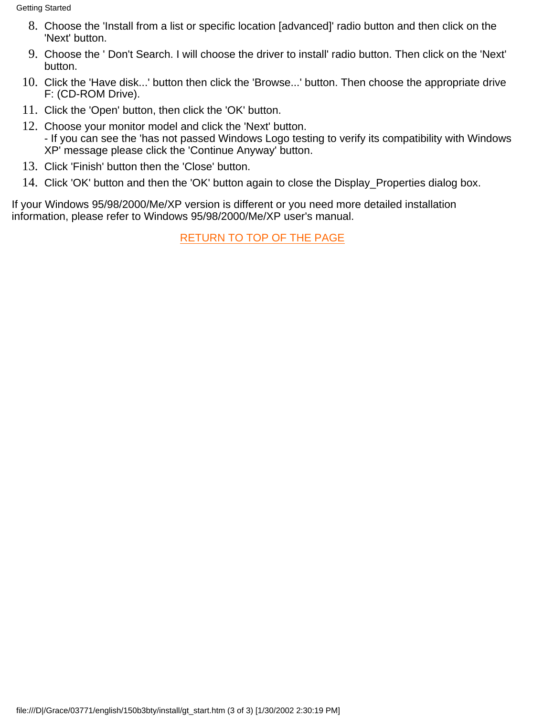Getting Started

- Choose the 'Install from a list or specific location [advanced]' radio button and then click on the 8. 'Next' button.
- Choose the ' Don't Search. I will choose the driver to install' radio button. Then click on the 'Next' 9. button.
- 10. Click the 'Have disk...' button then click the 'Browse...' button. Then choose the appropriate drive F: (CD-ROM Drive).
- 11. Click the 'Open' button, then click the 'OK' button.
- 12. Choose your monitor model and click the 'Next' button. - If you can see the 'has not passed Windows Logo testing to verify its compatibility with Windows XP' message please click the 'Continue Anyway' button.
- 13. Click 'Finish' button then the 'Close' button.
- 14. Click 'OK' button and then the 'OK' button again to close the Display\_Properties dialog box.

If your Windows 95/98/2000/Me/XP version is different or you need more detailed installation information, please refer to Windows 95/98/2000/Me/XP user's manual.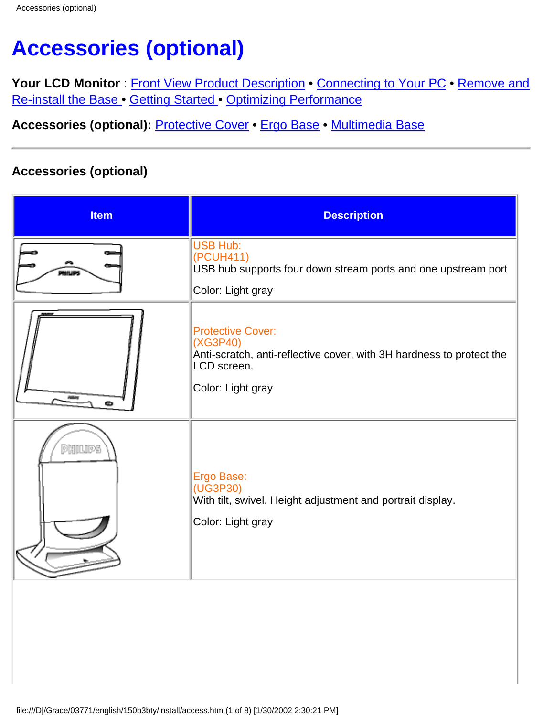# <span id="page-59-1"></span><span id="page-59-0"></span>**Accessories (optional)**

Your LCD Monitor: [Front View Product Description](#page-11-0) • [Connecting to Your PC](#page-50-0) • [Remove and](#page-52-0) [Re-install the Base](#page-52-0) • [Getting Started](#page-56-0) • [Optimizing Performance](#page-12-0)

**Accessories (optional):** [Protective Cover](#page-60-0) • [Ergo Base](#page-62-0) • [Multimedia Base](#page-64-0)

## **Accessories (optional)**

| <b>Item</b> | <b>Description</b>                                                                                                                               |
|-------------|--------------------------------------------------------------------------------------------------------------------------------------------------|
|             | <b>USB Hub:</b><br>(PCUH411)<br>USB hub supports four down stream ports and one upstream port<br>Color: Light gray                               |
|             | <b>Protective Cover:</b><br>(XG3P40)<br>Anti-scratch, anti-reflective cover, with 3H hardness to protect the<br>LCD screen.<br>Color: Light gray |
| philips     | Ergo Base:<br>(UG3P30)<br>With tilt, swivel. Height adjustment and portrait display.<br>Color: Light gray                                        |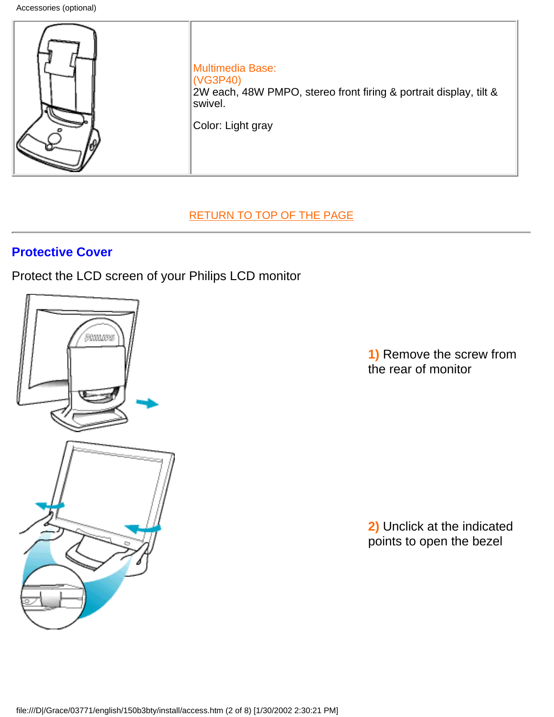

## [RETURN TO TOP OF THE PAGE](#page-59-1)

## <span id="page-60-0"></span>**Protective Cover**

Protect the LCD screen of your Philips LCD monitor



**1)** Remove the screw from the rear of monitor

**2)** Unclick at the indicated points to open the bezel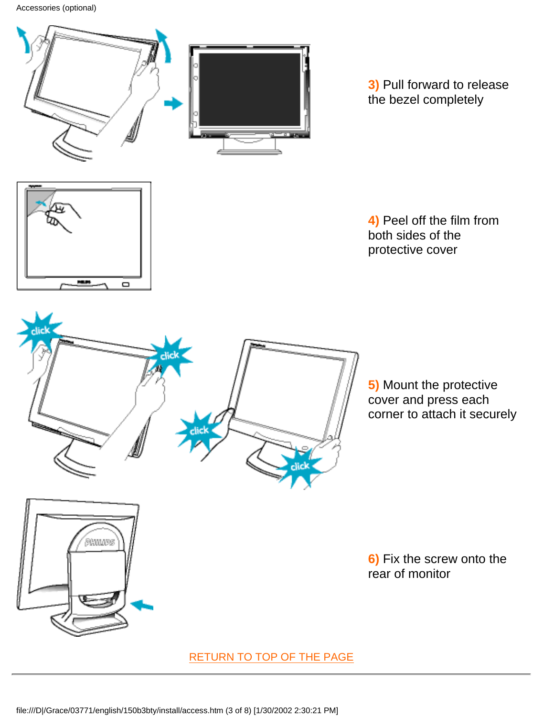Accessories (optional)



file:///D|/Grace/03771/english/150b3bty/install/access.htm (3 of 8) [1/30/2002 2:30:21 PM]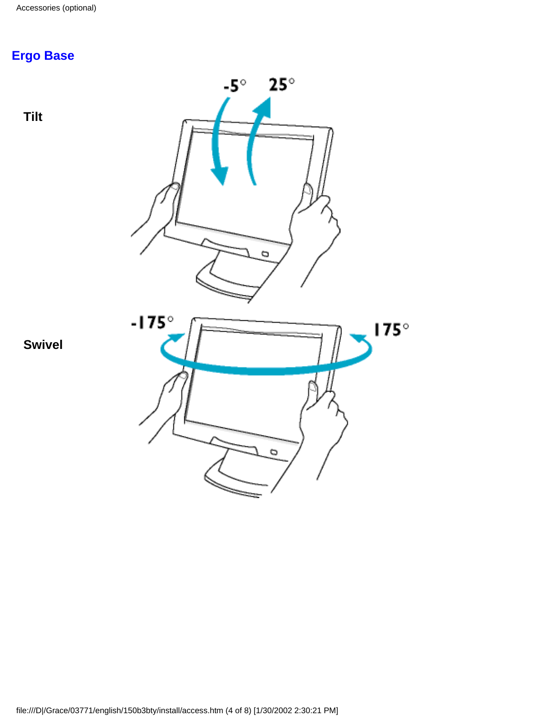# <span id="page-62-0"></span>**Ergo Base**

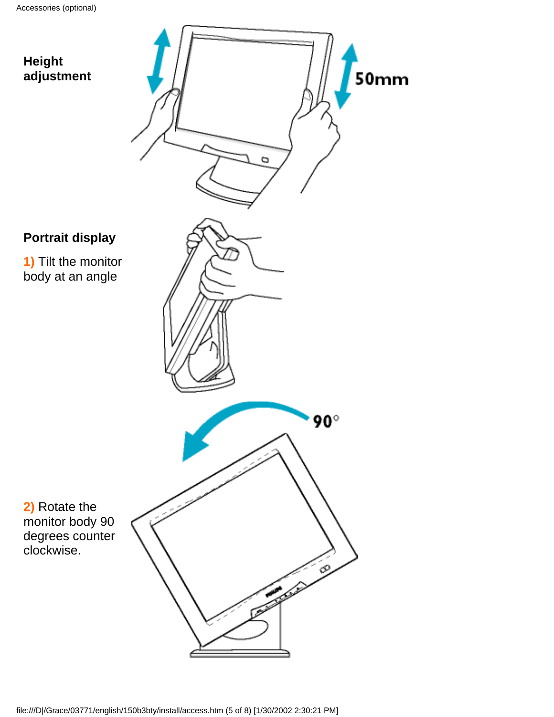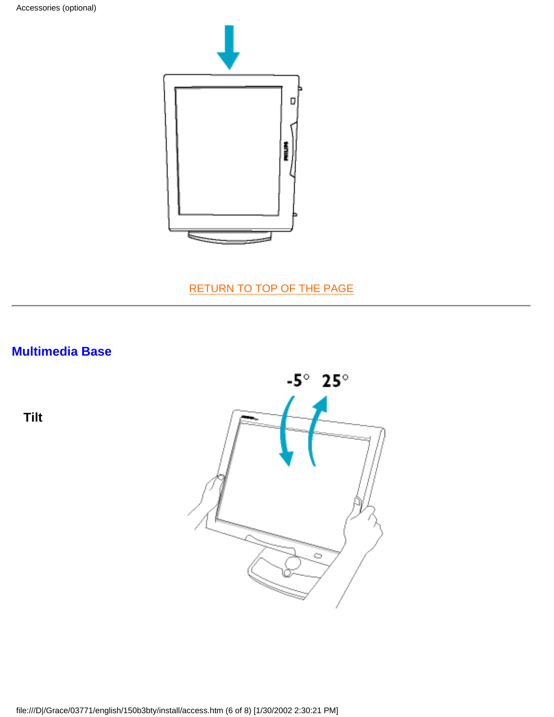

## [RETURN TO TOP OF THE PAGE](#page-59-1)

## <span id="page-64-0"></span>**Multimedia Base**

**Tilt**

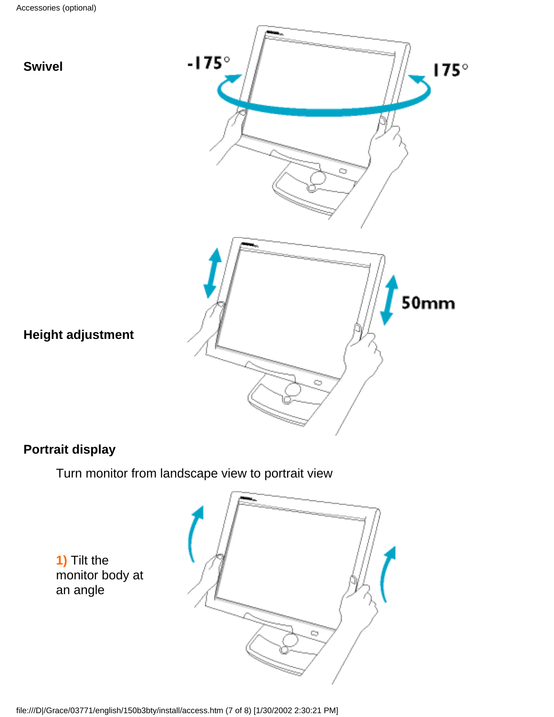



**Height adjustment**

# **Portrait display**

Turn monitor from landscape view to portrait view

**1)** Tilt the monitor body at an angle

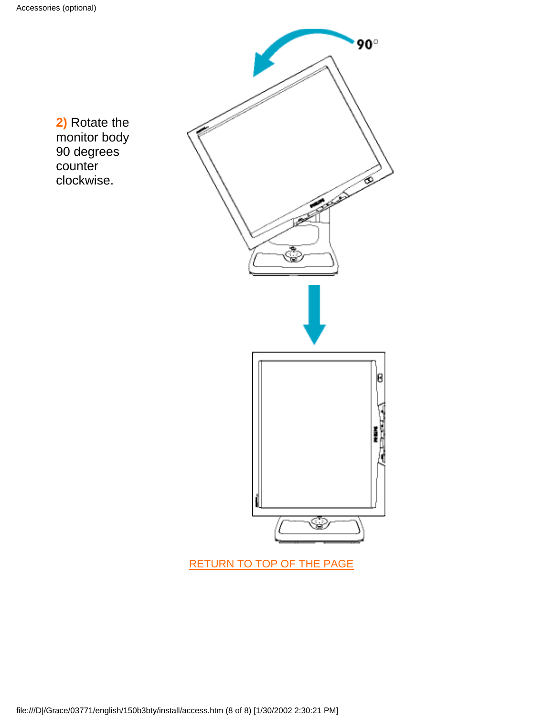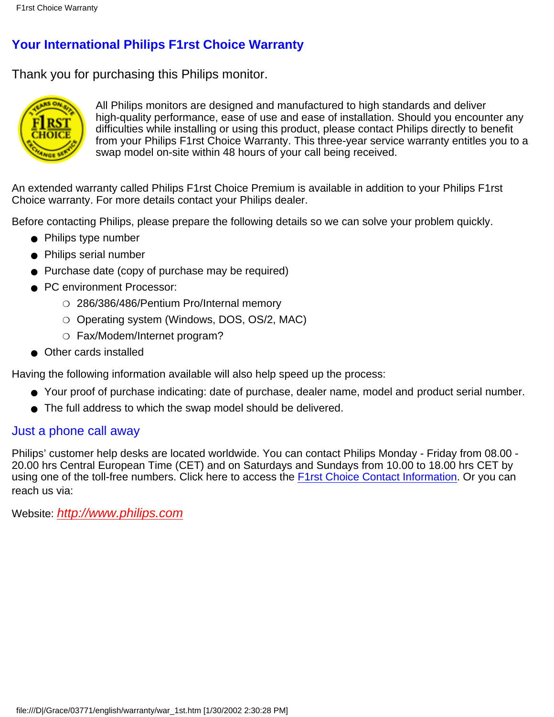## **Your International Philips F1rst Choice Warranty**

Thank you for purchasing this Philips monitor.



All Philips monitors are designed and manufactured to high standards and deliver high-quality performance, ease of use and ease of installation. Should you encounter any difficulties while installing or using this product, please contact Philips directly to benefit from your Philips F1rst Choice Warranty. This three-year service warranty entitles you to a swap model on-site within 48 hours of your call being received.

An extended warranty called Philips F1rst Choice Premium is available in addition to your Philips F1rst Choice warranty. For more details contact your Philips dealer.

Before contacting Philips, please prepare the following details so we can solve your problem quickly.

- Philips type number
- Philips serial number
- Purchase date (copy of purchase may be required)
- PC environment Processor:
	- ❍ 286/386/486/Pentium Pro/Internal memory
	- ❍ Operating system (Windows, DOS, OS/2, MAC)
	- ❍ Fax/Modem/Internet program?
- Other cards installed

Having the following information available will also help speed up the process:

- Your proof of purchase indicating: date of purchase, dealer name, model and product serial number.
- The full address to which the swap model should be delivered.

## Just a phone call away

Philips' customer help desks are located worldwide. You can contact Philips Monday - Friday from 08.00 - 20.00 hrs Central European Time (CET) and on Saturdays and Sundays from 10.00 to 18.00 hrs CET by using one of the toll-free numbers. Click here to access the [F1rst Choice Contact Information](#page-72-0). Or you can reach us via:

Website: *[http://www.philips.com](http://www.philips.com/)*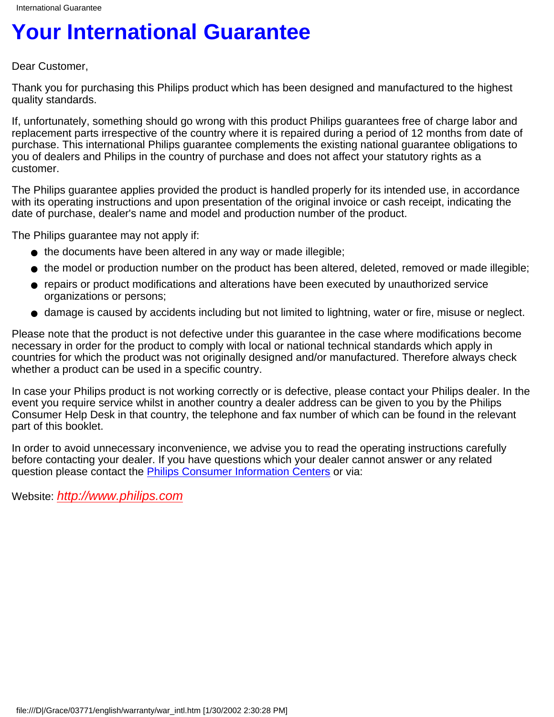# **Your International Guarantee**

## Dear Customer,

Thank you for purchasing this Philips product which has been designed and manufactured to the highest quality standards.

If, unfortunately, something should go wrong with this product Philips guarantees free of charge labor and replacement parts irrespective of the country where it is repaired during a period of 12 months from date of purchase. This international Philips guarantee complements the existing national guarantee obligations to you of dealers and Philips in the country of purchase and does not affect your statutory rights as a customer.

The Philips guarantee applies provided the product is handled properly for its intended use, in accordance with its operating instructions and upon presentation of the original invoice or cash receipt, indicating the date of purchase, dealer's name and model and production number of the product.

The Philips guarantee may not apply if:

- the documents have been altered in any way or made illegible;
- the model or production number on the product has been altered, deleted, removed or made illegible;
- repairs or product modifications and alterations have been executed by unauthorized service organizations or persons;
- damage is caused by accidents including but not limited to lightning, water or fire, misuse or neglect.

Please note that the product is not defective under this guarantee in the case where modifications become necessary in order for the product to comply with local or national technical standards which apply in countries for which the product was not originally designed and/or manufactured. Therefore always check whether a product can be used in a specific country.

In case your Philips product is not working correctly or is defective, please contact your Philips dealer. In the event you require service whilst in another country a dealer address can be given to you by the Philips Consumer Help Desk in that country, the telephone and fax number of which can be found in the relevant part of this booklet.

In order to avoid unnecessary inconvenience, we advise you to read the operating instructions carefully before contacting your dealer. If you have questions which your dealer cannot answer or any related question please contact the [Philips Consumer Information Centers](#page-73-0) or via:

Website: *[http://www.philips.com](http://www.philips.com/)*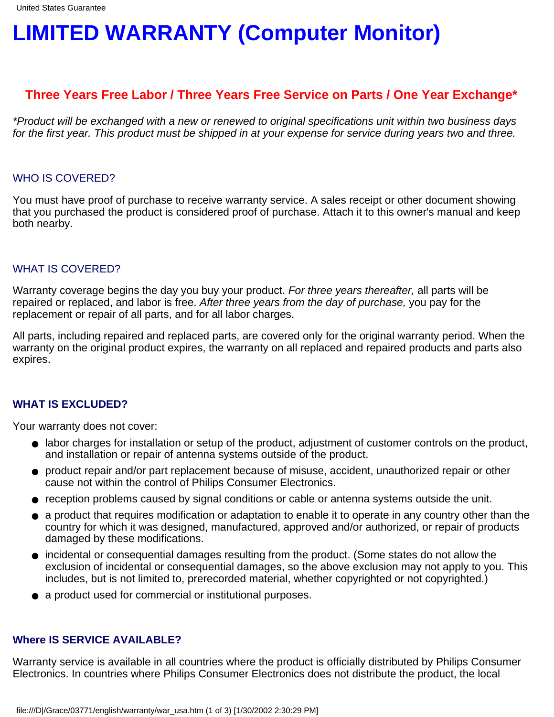# **LIMITED WARRANTY (Computer Monitor)**

## **Three Years Free Labor / Three Years Free Service on Parts / One Year Exchange\***

*\*Product will be exchanged with a new or renewed to original specifications unit within two business days for the first year. This product must be shipped in at your expense for service during years two and three.*

## WHO IS COVERED?

You must have proof of purchase to receive warranty service. A sales receipt or other document showing that you purchased the product is considered proof of purchase. Attach it to this owner's manual and keep both nearby.

## WHAT IS COVERED?

Warranty coverage begins the day you buy your product. *For three years thereafter,* all parts will be repaired or replaced, and labor is free. *After three years from the day of purchase,* you pay for the replacement or repair of all parts, and for all labor charges.

All parts, including repaired and replaced parts, are covered only for the original warranty period. When the warranty on the original product expires, the warranty on all replaced and repaired products and parts also expires.

## **WHAT IS EXCLUDED?**

Your warranty does not cover:

- labor charges for installation or setup of the product, adjustment of customer controls on the product, and installation or repair of antenna systems outside of the product.
- product repair and/or part replacement because of misuse, accident, unauthorized repair or other cause not within the control of Philips Consumer Electronics.
- reception problems caused by signal conditions or cable or antenna systems outside the unit.
- a product that requires modification or adaptation to enable it to operate in any country other than the country for which it was designed, manufactured, approved and/or authorized, or repair of products damaged by these modifications.
- incidental or consequential damages resulting from the product. (Some states do not allow the exclusion of incidental or consequential damages, so the above exclusion may not apply to you. This includes, but is not limited to, prerecorded material, whether copyrighted or not copyrighted.)
- a product used for commercial or institutional purposes.

## **Where IS SERVICE AVAILABLE?**

Warranty service is available in all countries where the product is officially distributed by Philips Consumer Electronics. In countries where Philips Consumer Electronics does not distribute the product, the local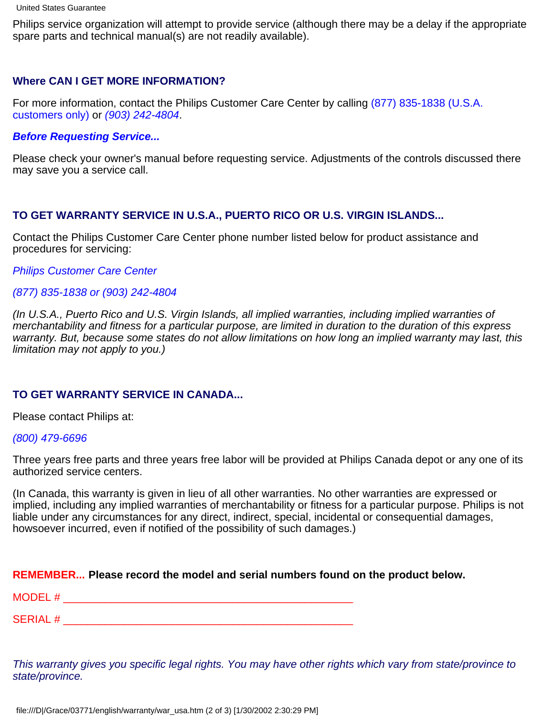Philips service organization will attempt to provide service (although there may be a delay if the appropriate spare parts and technical manual(s) are not readily available).

## **Where CAN I GET MORE INFORMATION?**

For more information, contact the Philips Customer Care Center by calling (877) 835-1838 (U.S.A. customers only) or *(903) 242-4804*.

## *Before Requesting Service...*

Please check your owner's manual before requesting service. Adjustments of the controls discussed there may save you a service call.

## **TO GET WARRANTY SERVICE IN U.S.A., PUERTO RICO OR U.S. VIRGIN ISLANDS...**

Contact the Philips Customer Care Center phone number listed below for product assistance and procedures for servicing:

*Philips Customer Care Center*

## *(877) 835-1838 or (903) 242-4804*

*(In U.S.A., Puerto Rico and U.S. Virgin Islands, all implied warranties, including implied warranties of merchantability and fitness for a particular purpose, are limited in duration to the duration of this express warranty. But, because some states do not allow limitations on how long an implied warranty may last, this limitation may not apply to you.)*

## **TO GET WARRANTY SERVICE IN CANADA...**

Please contact Philips at:

## *(800) 479-6696*

Three years free parts and three years free labor will be provided at Philips Canada depot or any one of its authorized service centers.

(In Canada, this warranty is given in lieu of all other warranties. No other warranties are expressed or implied, including any implied warranties of merchantability or fitness for a particular purpose. Philips is not liable under any circumstances for any direct, indirect, special, incidental or consequential damages, howsoever incurred, even if notified of the possibility of such damages.)

## **REMEMBER... Please record the model and serial numbers found on the product below.**

| .<br><del>.</del> |  |  |  |  |
|-------------------|--|--|--|--|
|                   |  |  |  |  |

SERIAL # \_\_\_\_\_\_\_\_\_\_\_\_\_\_\_\_\_\_\_\_\_\_\_\_\_\_\_\_\_\_\_\_\_\_\_\_\_\_\_\_\_\_\_\_\_\_\_\_

## *This warranty gives you specific legal rights. You may have other rights which vary from state/province to state/province.*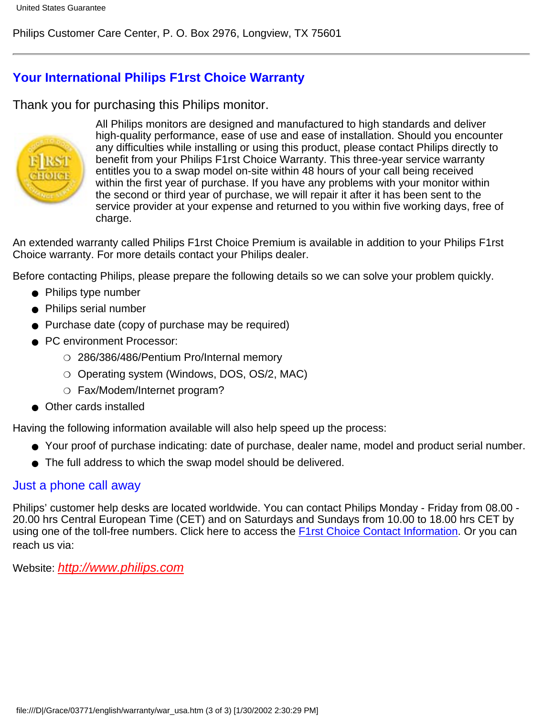Philips Customer Care Center, P. O. Box 2976, Longview, TX 75601

## **Your International Philips F1rst Choice Warranty**

Thank you for purchasing this Philips monitor.



All Philips monitors are designed and manufactured to high standards and deliver high-quality performance, ease of use and ease of installation. Should you encounter any difficulties while installing or using this product, please contact Philips directly to benefit from your Philips F1rst Choice Warranty. This three-year service warranty entitles you to a swap model on-site within 48 hours of your call being received within the first year of purchase. If you have any problems with your monitor within the second or third year of purchase, we will repair it after it has been sent to the service provider at your expense and returned to you within five working days, free of charge.

An extended warranty called Philips F1rst Choice Premium is available in addition to your Philips F1rst Choice warranty. For more details contact your Philips dealer.

Before contacting Philips, please prepare the following details so we can solve your problem quickly.

- Philips type number
- Philips serial number
- Purchase date (copy of purchase may be required)
- PC environment Processor:
	- ❍ 286/386/486/Pentium Pro/Internal memory
	- ❍ Operating system (Windows, DOS, OS/2, MAC)
	- ❍ Fax/Modem/Internet program?
- Other cards installed

Having the following information available will also help speed up the process:

- Your proof of purchase indicating: date of purchase, dealer name, model and product serial number.
- The full address to which the swap model should be delivered.

## Just a phone call away

Philips' customer help desks are located worldwide. You can contact Philips Monday - Friday from 08.00 - 20.00 hrs Central European Time (CET) and on Saturdays and Sundays from 10.00 to 18.00 hrs CET by using one of the toll-free numbers. Click here to access the [F1rst Choice Contact Information](#page-72-0). Or you can reach us via:

Website: *[http://www.philips.com](http://www.philips.com/)*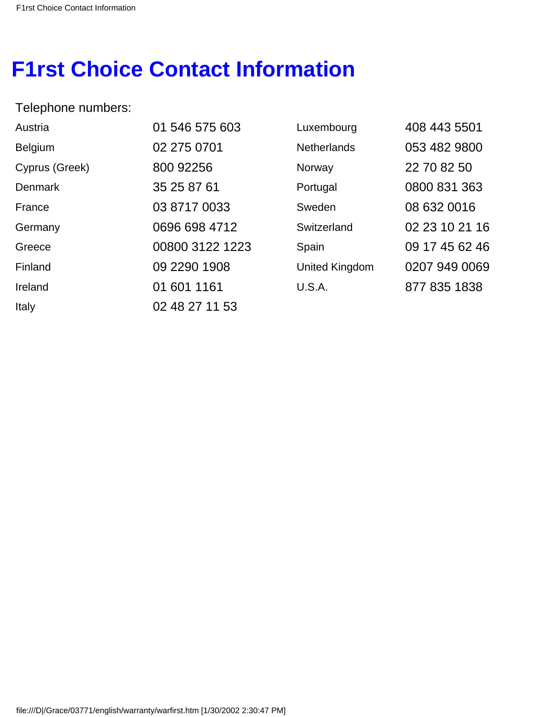# **F1rst Choice Contact Information**

Telephone numbers:

| Austria        | 01 546 575 603  | Luxembourg         | 408 443 5501   |
|----------------|-----------------|--------------------|----------------|
| Belgium        | 02 275 0701     | <b>Netherlands</b> | 053 482 9800   |
| Cyprus (Greek) | 800 92256       | Norway             | 22 70 82 50    |
| <b>Denmark</b> | 35 25 87 61     | Portugal           | 0800 831 363   |
| France         | 03 8717 0033    | Sweden             | 08 632 0016    |
| Germany        | 0696 698 4712   | Switzerland        | 02 23 10 21 16 |
| Greece         | 00800 3122 1223 | Spain              | 09 17 45 62 46 |
| Finland        | 09 2290 1908    | United Kingdom     | 0207 949 0069  |
| Ireland        | 01 601 1161     | <b>U.S.A.</b>      | 877 835 1838   |
| Italy          | 02 48 27 11 53  |                    |                |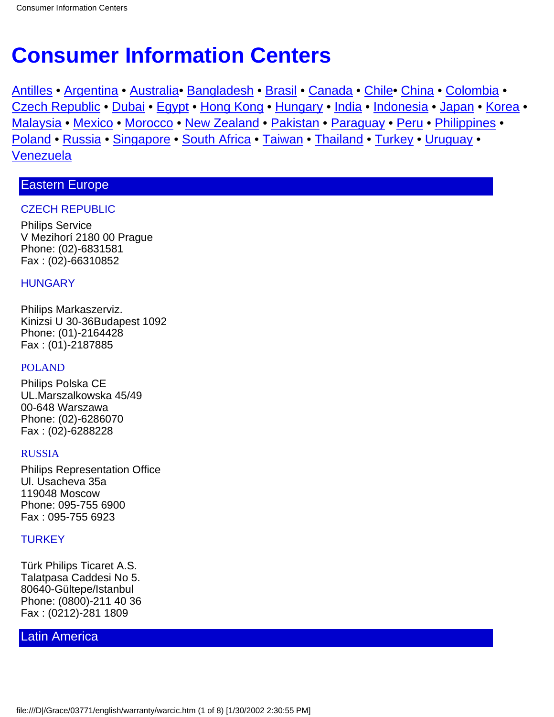# <span id="page-73-0"></span>**Consumer Information Centers**

Antilles • Argentina • Australia• Bangladesh • Brasil • Canada • Chile• China • Colombia • Czech Republic • Dubai • Egypt • Hong Kong • Hungary • India • Indonesia • Japan • Korea • Malaysia • Mexico • Morocco • New Zealand • Pakistan • Paraguay • Peru • Philippines • [Poland](#page-73-0) • Russia • [Singapore](#page-79-0) • [South Africa](#page-79-1) • [Taiwan](#page-79-2) • [Thailand](#page-79-3) • [Turkey](#page-73-1) • [Uruguay](#page-75-0) • [Venezuela](#page-75-1)

# Eastern Europe

# CZECH REPUBLIC

Philips Service V Mezihorí 2180 00 Prague Phone: (02)-6831581 Fax : (02)-66310852

# **HUNGARY**

Philips Markaszerviz. Kinizsi U 30-36Budapest 1092 Phone: (01)-2164428 Fax : (01)-2187885

# POLAND

Philips Polska CE UL.Marszalkowska 45/49 00-648 Warszawa Phone: (02)-6286070 Fax : (02)-6288228

# RUSSIA

Philips Representation Office Ul. Usacheva 35a 119048 Moscow Phone: 095-755 6900 Fax : 095-755 6923

# <span id="page-73-1"></span>**TURKEY**

Türk Philips Ticaret A.S. Talatpasa Caddesi No 5. 80640-Gültepe/Istanbul Phone: (0800)-211 40 36 Fax : (0212)-281 1809

# Latin America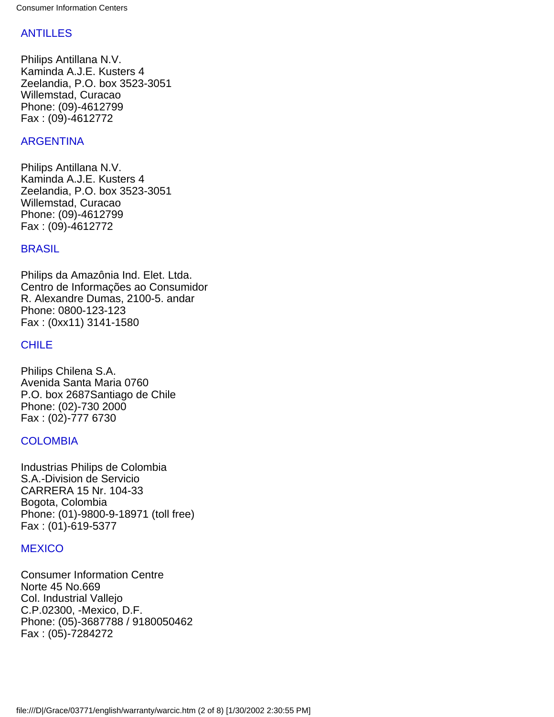# ANTILLES

Philips Antillana N.V. Kaminda A.J.E. Kusters 4 Zeelandia, P.O. box 3523-3051 Willemstad, Curacao Phone: (09)-4612799 Fax : (09)-4612772

## ARGENTINA

Philips Antillana N.V. Kaminda A.J.E. Kusters 4 Zeelandia, P.O. box 3523-3051 Willemstad, Curacao Phone: (09)-4612799 Fax : (09)-4612772

## **BRASIL**

Philips da Amazônia Ind. Elet. Ltda. Centro de Informações ao Consumidor R. Alexandre Dumas, 2100-5. andar Phone: 0800-123-123 Fax : (0xx11) 3141-1580

# **CHILE**

Philips Chilena S.A. Avenida Santa Maria 0760 P.O. box 2687Santiago de Chile Phone: (02)-730 2000 Fax : (02)-777 6730

## **COLOMBIA**

Industrias Philips de Colombia S.A.-Division de Servicio CARRERA 15 Nr. 104-33 Bogota, Colombia Phone: (01)-9800-9-18971 (toll free) Fax : (01)-619-5377

# **MEXICO**

Consumer Information Centre Norte 45 No.669 Col. Industrial Vallejo C.P.02300, -Mexico, D.F. Phone: (05)-3687788 / 9180050462 Fax : (05)-7284272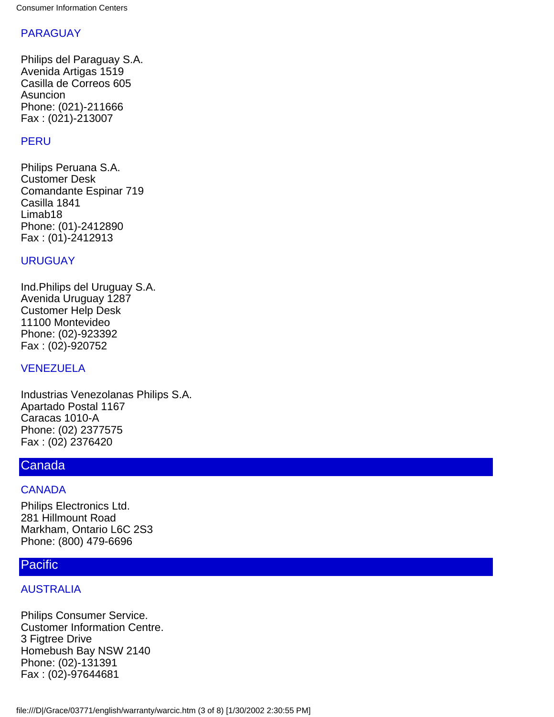# PARAGUAY

Philips del Paraguay S.A. Avenida Artigas 1519 Casilla de Correos 605 Asuncion Phone: (021)-211666 Fax : (021)-213007

## PERU

Philips Peruana S.A. Customer Desk Comandante Espinar 719 Casilla 1841 Limab18 Phone: (01)-2412890 Fax : (01)-2412913

## <span id="page-75-0"></span>URUGUAY

Ind.Philips del Uruguay S.A. Avenida Uruguay 1287 Customer Help Desk 11100 Montevideo Phone: (02)-923392 Fax : (02)-920752

# <span id="page-75-1"></span>VENEZUELA

Industrias Venezolanas Philips S.A. Apartado Postal 1167 Caracas 1010-A Phone: (02) 2377575 Fax : (02) 2376420

# Canada

# **CANADA**

Philips Electronics Ltd. 281 Hillmount Road Markham, Ontario L6C 2S3 Phone: (800) 479-6696

# **Pacific**

# AUSTRALIA

Philips Consumer Service. Customer Information Centre. 3 Figtree Drive Homebush Bay NSW 2140 Phone: (02)-131391 Fax : (02)-97644681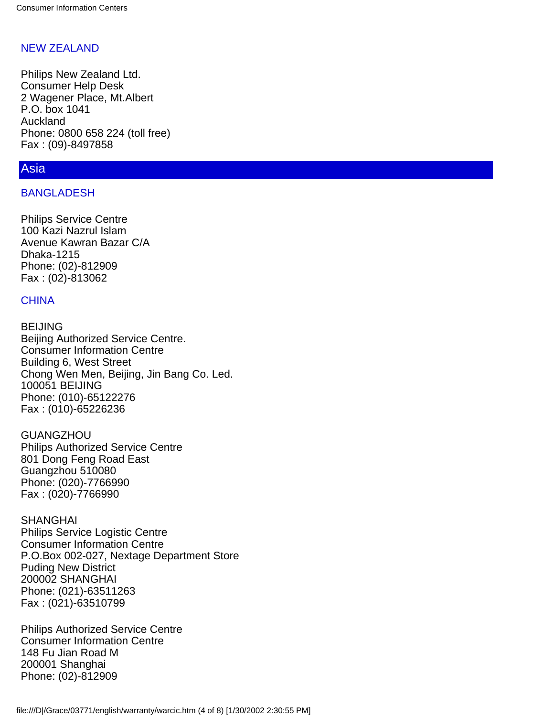### NEW ZEALAND

Philips New Zealand Ltd. Consumer Help Desk 2 Wagener Place, Mt.Albert P.O. box 1041 Auckland Phone: 0800 658 224 (toll free) Fax : (09)-8497858

## Asia

#### BANGLADESH

Philips Service Centre 100 Kazi Nazrul Islam Avenue Kawran Bazar C/A Dhaka-1215 Phone: (02)-812909 Fax : (02)-813062

## **CHINA**

BEIJING Beijing Authorized Service Centre. Consumer Information Centre Building 6, West Street Chong Wen Men, Beijing, Jin Bang Co. Led. 100051 BEIJING Phone: (010)-65122276 Fax : (010)-65226236

GUANGZHOU Philips Authorized Service Centre 801 Dong Feng Road East Guangzhou 510080 Phone: (020)-7766990 Fax : (020)-7766990

**SHANGHAI** Philips Service Logistic Centre Consumer Information Centre P.O.Box 002-027, Nextage Department Store Puding New District 200002 SHANGHAI Phone: (021)-63511263 Fax : (021)-63510799

Philips Authorized Service Centre Consumer Information Centre 148 Fu Jian Road M 200001 Shanghai Phone: (02)-812909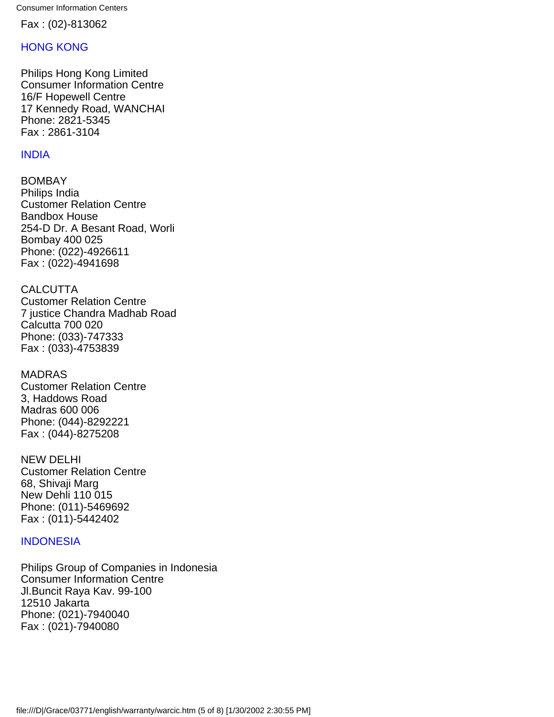Fax : (02)-813062

## HONG KONG

Philips Hong Kong Limited Consumer Information Centre 16/F Hopewell Centre 17 Kennedy Road, WANCHAI Phone: 2821-5345 Fax : 2861-3104

## INDIA

BOMBAY Philips India Customer Relation Centre Bandbox House 254-D Dr. A Besant Road, Worli Bombay 400 025 Phone: (022)-4926611 Fax : (022)-4941698

## **CALCUTTA**

Customer Relation Centre 7 justice Chandra Madhab Road Calcutta 700 020 Phone: (033)-747333 Fax : (033)-4753839

#### MADRAS

Customer Relation Centre 3, Haddows Road Madras 600 006 Phone: (044)-8292221 Fax : (044)-8275208

NEW DELHI Customer Relation Centre 68, Shivaji Marg New Dehli 110 015 Phone: (011)-5469692 Fax : (011)-5442402

#### **INDONESIA**

Philips Group of Companies in Indonesia Consumer Information Centre Jl.Buncit Raya Kav. 99-100 12510 Jakarta Phone: (021)-7940040 Fax : (021)-7940080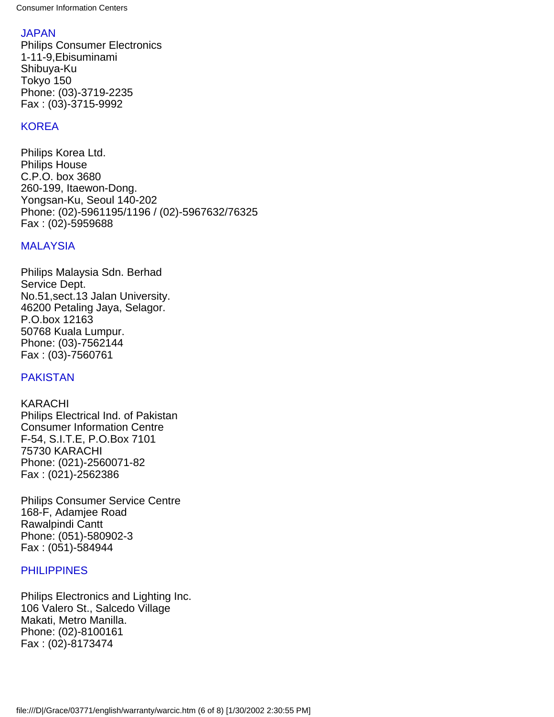Consumer Information Centers

## JAPAN

Philips Consumer Electronics 1-11-9,Ebisuminami Shibuya-Ku Tokyo 150 Phone: (03)-3719-2235 Fax : (03)-3715-9992

# **KOREA**

Philips Korea Ltd. Philips House C.P.O. box 3680 260-199, Itaewon-Dong. Yongsan-Ku, Seoul 140-202 Phone: (02)-5961195/1196 / (02)-5967632/76325 Fax : (02)-5959688

# MALAYSIA

Philips Malaysia Sdn. Berhad Service Dept. No.51,sect.13 Jalan University. 46200 Petaling Jaya, Selagor. P.O.box 12163 50768 Kuala Lumpur. Phone: (03)-7562144 Fax : (03)-7560761

# PAKISTAN

KARACHI Philips Electrical Ind. of Pakistan Consumer Information Centre F-54, S.I.T.E, P.O.Box 7101 75730 KARACHI Phone: (021)-2560071-82 Fax : (021)-2562386

Philips Consumer Service Centre 168-F, Adamjee Road Rawalpindi Cantt Phone: (051)-580902-3 Fax : (051)-584944

# PHILIPPINES

Philips Electronics and Lighting Inc. 106 Valero St., Salcedo Village Makati, Metro Manilla. Phone: (02)-8100161 Fax : (02)-8173474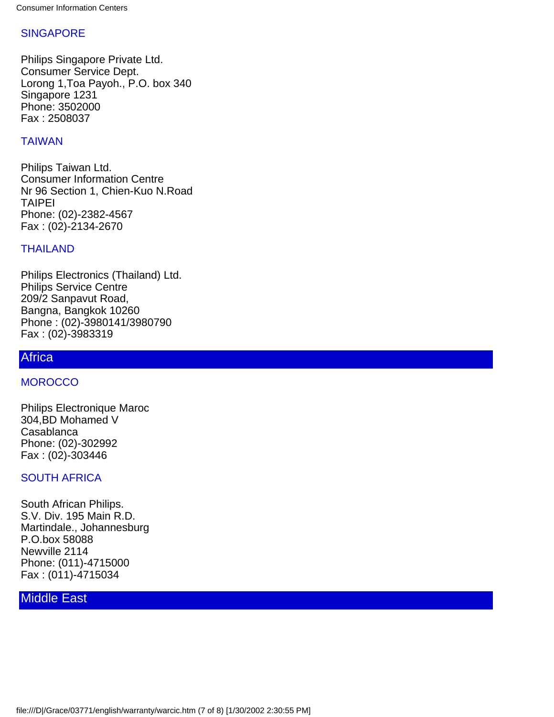# <span id="page-79-0"></span>**SINGAPORE**

Philips Singapore Private Ltd. Consumer Service Dept. Lorong 1,Toa Payoh., P.O. box 340 Singapore 1231 Phone: 3502000 Fax : 2508037

## <span id="page-79-2"></span>TAIWAN

Philips Taiwan Ltd. Consumer Information Centre Nr 96 Section 1, Chien-Kuo N.Road TAIPEI Phone: (02)-2382-4567 Fax : (02)-2134-2670

## <span id="page-79-3"></span>THAILAND

Philips Electronics (Thailand) Ltd. Philips Service Centre 209/2 Sanpavut Road, Bangna, Bangkok 10260 Phone : (02)-3980141/3980790 Fax : (02)-3983319

## **Africa**

## **MOROCCO**

Philips Electronique Maroc 304,BD Mohamed V Casablanca Phone: (02)-302992 Fax : (02)-303446

## <span id="page-79-1"></span>SOUTH AFRICA

South African Philips. S.V. Div. 195 Main R.D. Martindale., Johannesburg P.O.box 58088 Newville 2114 Phone: (011)-4715000 Fax : (011)-4715034

# Middle East